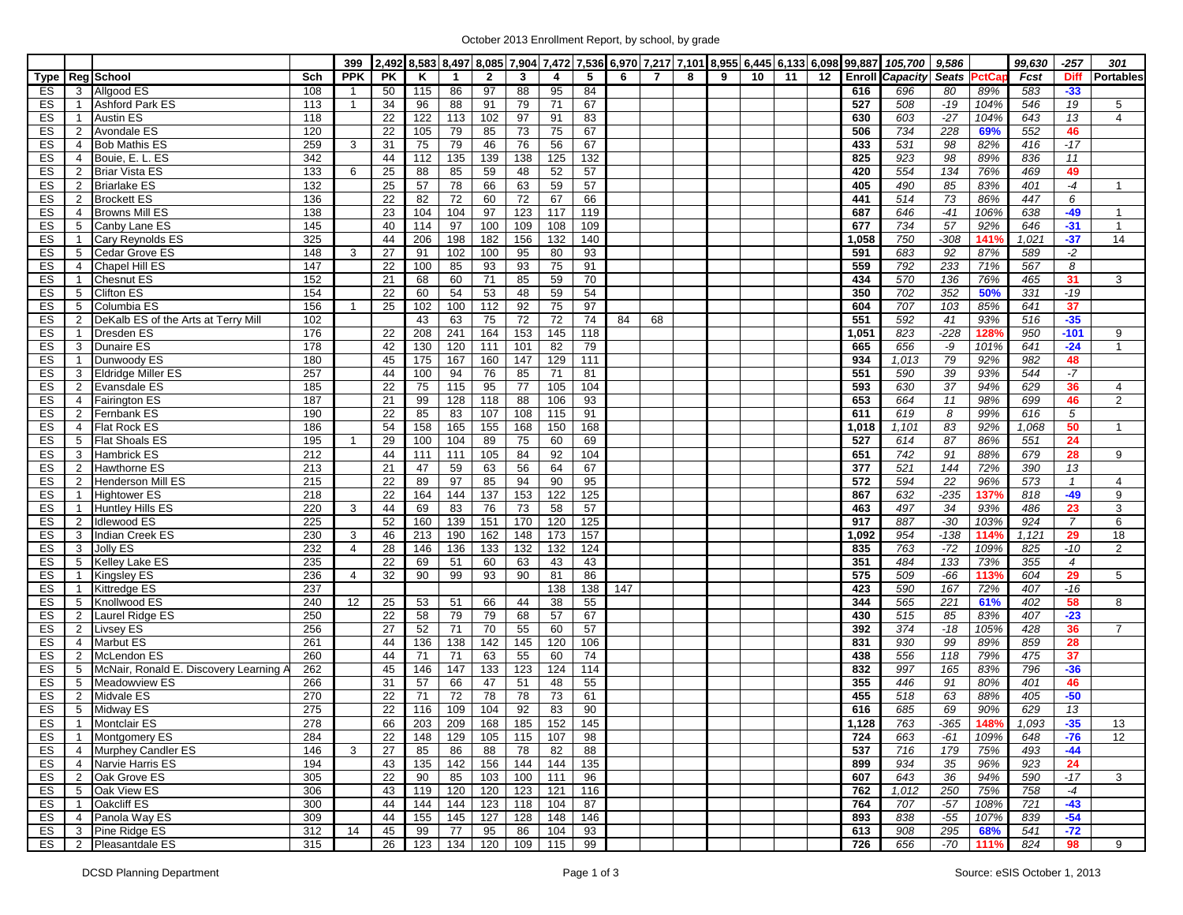|          |                                  |                                                     |            | 399            |          |           |             |                       |                       |                  |           |     |                |   |   |    |    |    | 2,492 8,583 8,497 8,085 7,904 7,472 7,536 6,970 7,217 7,101 8,955 6,445 6,133 6,098 99,887 | 105,700                | 9,586        |              | 99,630     | $-257$         | 301              |
|----------|----------------------------------|-----------------------------------------------------|------------|----------------|----------|-----------|-------------|-----------------------|-----------------------|------------------|-----------|-----|----------------|---|---|----|----|----|--------------------------------------------------------------------------------------------|------------------------|--------------|--------------|------------|----------------|------------------|
|          |                                  | Type Reg School                                     | Sch        | <b>PPK</b>     | PK       | ĸ         | $\mathbf 1$ | $\overline{2}$        | 3                     | 4                | -5        | 6   | $\overline{7}$ | 8 | 9 | 10 | 11 | 12 |                                                                                            | <b>Enroll Capacity</b> | <b>Seats</b> | <b>PctCa</b> | Fcst       | <b>Diff</b>    | <b>Portables</b> |
| ES       | 3                                | Allgood ES                                          | 108        | $\overline{1}$ | 50       | 115       | 86          | 97                    | 88                    | 95               | 84        |     |                |   |   |    |    |    | 616                                                                                        | 696                    | 80           | 89%          | 583        | $-33$          |                  |
| ES       | $\mathbf{1}$                     | Ashford Park ES                                     | 113        | $\overline{1}$ | 34       | 96        | 88          | 91                    | 79                    | 71               | 67        |     |                |   |   |    |    |    | 527                                                                                        | 508                    | $-19$        | 104%         | 546        | 19             | 5                |
| ES       | $\mathbf{1}$                     | <b>Austin ES</b>                                    | 118        |                | 22       | 122       | 113         | 102                   | 97                    | 91               | 83        |     |                |   |   |    |    |    | 630                                                                                        | 603                    | $-27$        | 104%         | 643        | 13             | $\overline{4}$   |
| ES       | $\overline{2}$                   | <b>Avondale ES</b>                                  | 120        |                | 22       | 105       | 79          | 85                    | $\overline{73}$       | 75               | 67        |     |                |   |   |    |    |    | 506                                                                                        | 734                    | 228          | 69%          | 552        | 46             |                  |
| ES       | $\overline{4}$                   | <b>Bob Mathis ES</b>                                | 259        | 3              | 31       | 75        | 79          | 46                    | 76                    | 56               | 67        |     |                |   |   |    |    |    | 433                                                                                        | 531                    | 98           | 82%          | 416        | $-17$          |                  |
| ES       | $\overline{4}$                   | Bouie, E. L. ES                                     | 342        |                | 44       | 112       | 135         | 139                   | 138                   | 125              | 132       |     |                |   |   |    |    |    | 825                                                                                        | 923                    | 98           | 89%          | 836        | 11             |                  |
| ES       | $\mathbf{2}$                     | <b>Briar Vista ES</b>                               | 133        | 6              | 25       | 88        | 85          | 59                    | 48                    | 52               | 57        |     |                |   |   |    |    |    | 420                                                                                        | 554                    | 134          | 76%          | 469        | 49             |                  |
| ES       | $\mathbf{2}$                     | <b>Briarlake ES</b>                                 | 132        |                | 25       | 57        | 78          | 66                    | 63                    | 59               | 57        |     |                |   |   |    |    |    | 405                                                                                        | 490                    | 85           | 83%          | 401        | $-4$           | $\mathbf{1}$     |
| ES       | $\overline{2}$                   | <b>Brockett ES</b>                                  | 136        |                | 22       | 82        | 72          | 60                    | 72                    | 67               | 66        |     |                |   |   |    |    |    | 441                                                                                        | 514                    | 73           | 86%          | 447        | 6              |                  |
| ES       | $\overline{4}$                   | <b>Browns Mill ES</b>                               | 138        |                | 23       | 104       | 104         | 97                    | 123                   | 117              | 119       |     |                |   |   |    |    |    | 687                                                                                        | 646                    | $-41$        | 106%         | 638        | -49            | $\overline{1}$   |
| ES       | 5                                | Canby Lane ES                                       | 145        |                | 40       | 114       | 97          | 100                   | 109                   | 108              | 109       |     |                |   |   |    |    |    | 677                                                                                        | 734                    | 57           | 92%          | 646        | $-31$          | $\overline{1}$   |
| ES       | $\mathbf{1}$                     | Cary Reynolds ES                                    | 325        |                | 44       | 206       | 198         | 182                   | 156                   | $\overline{132}$ | 140       |     |                |   |   |    |    |    | 1,058                                                                                      | 750                    | $-308$       | 141%         | 1,021      | $-37$          | 14               |
| ES       | 5                                | <b>Cedar Grove ES</b>                               | 148        | 3              | 27       | 91        | 102         | 100                   | 95                    | 80               | 93        |     |                |   |   |    |    |    | 591                                                                                        | 683                    | 92           | 87%          | 589        | $-2$           |                  |
| ES       | $\overline{4}$                   | Chapel Hill ES                                      | 147        |                | 22       | 100       | 85          | 93                    | 93                    | 75               | 91        |     |                |   |   |    |    |    | 559                                                                                        | 792                    | 233          | 71%          | 567        | 8              |                  |
| ES       | $\mathbf{1}$                     | Chesnut ES                                          | 152        |                | 21       | 68        | 60          | 71                    | 85                    | 59               | 70        |     |                |   |   |    |    |    | 434                                                                                        | 570                    | 136          | 76%          | 465        | 31             | 3                |
| ES       | 5                                | <b>Clifton ES</b>                                   | 154        |                | 22       | 60        | 54          | 53                    | 48                    | 59               | 54        |     |                |   |   |    |    |    | 350                                                                                        | 702                    | 352          | 50%          | 331        | $-19$          |                  |
| ES       | 5                                | Columbia ES                                         | 156        | -1             | 25       | 102       | 100         | $\frac{112}{2}$       | 92                    | 75               | 97        |     |                |   |   |    |    |    | 604                                                                                        | 707                    | 103          | 85%          | 641        | 37             |                  |
| ES       | $\overline{2}$                   | DeKalb ES of the Arts at Terry Mill                 | 102        |                |          | 43        | 63          | 75                    | $\overline{72}$       | 72               | 74        | 84  | 68             |   |   |    |    |    | 551                                                                                        | 592                    | 41           | 93%          | 516        | $-35$          |                  |
| ES       | $\mathbf{1}$                     | Dresden ES                                          | 176        |                | 22       | 208       | 241         | 164                   | 153                   | 145              | 118       |     |                |   |   |    |    |    | 1,051                                                                                      | 823                    | $-228$       | 128%         | 950        | $-101$         | 9                |
| ES       | 3                                | <b>Dunaire ES</b>                                   | 178        |                | 42       | 130       | 120         | 111                   | 101                   | $\overline{82}$  | 79        |     |                |   |   |    |    |    | 665                                                                                        | 656                    | -9           | 101%         | 641        | $-24$          | $\mathbf{1}$     |
| ES       | $\mathbf{1}$                     | Dunwoody ES                                         | 180        |                | 45       | 175       | 167         | 160                   | 147                   | 129              | 111       |     |                |   |   |    |    |    | 934                                                                                        | 1,013                  | 79           | 92%          | 982        | 48             |                  |
| ES       | 3                                | <b>Eldridge Miller ES</b>                           | 257        |                | 44       | 100       | 94          | 76                    | 85                    | 71               | 81        |     |                |   |   |    |    |    | 551                                                                                        | 590                    | 39           | 93%          | 544        | $-7$           |                  |
| ES       | $\overline{2}$                   | Evansdale ES                                        | 185        |                | 22       | 75        | 115         | 95                    | 77                    | 105              | 104       |     |                |   |   |    |    |    | 593                                                                                        | 630                    | 37           | 94%          | 629        | 36             | 4                |
| ES       | $\overline{4}$                   | <b>Fairington ES</b>                                | 187        |                | 21       | 99        | 128         | 118                   | $\overline{88}$       | 106              | 93        |     |                |   |   |    |    |    | 653                                                                                        | 664                    | 11           | 98%          | 699        | 46             | $\overline{2}$   |
| ES       | $\overline{2}$                   | Fernbank ES                                         | 190        |                | 22       | 85        | 83          | 107                   | 108                   | 115              | 91        |     |                |   |   |    |    |    | 611                                                                                        | 619                    | 8            | 99%          | 616        | 5              |                  |
| ES       | $\overline{4}$                   | <b>Flat Rock ES</b>                                 | 186        |                | 54       | 158       | 165         | 155                   | 168                   | 150              | 168       |     |                |   |   |    |    |    | 1,018                                                                                      | 1,101                  | 83           | 92%          | 1,068      | 50             | $\mathbf{1}$     |
| ES       | 5                                | <b>Flat Shoals ES</b>                               | 195        | -1             | 29       | 100       | 104         | 89                    | 75                    | 60               | 69        |     |                |   |   |    |    |    | 527                                                                                        | 614                    | 87           | 86%          | 551        | 24             |                  |
| ES       | 3                                | <b>Hambrick ES</b>                                  | 212        |                | 44       | 111       | 111         | 105                   | 84                    | 92               | 104       |     |                |   |   |    |    |    | 651                                                                                        | 742                    | 91           | 88%          | 679        | 28             | 9                |
| ES       | $\overline{2}$                   | Hawthorne ES                                        | 213        |                | 21       | 47        | 59          | 63                    | 56                    | 64               | 67        |     |                |   |   |    |    |    | 377                                                                                        | 521                    | 144          | 72%          | 390        | 13             |                  |
| ES       | $\overline{2}$                   | <b>Henderson Mill ES</b>                            | 215        |                | 22       | 89        | 97          | 85                    | 94                    | 90               | 95        |     |                |   |   |    |    |    | 572                                                                                        | 594                    | 22           | 96%          | 573        | $\mathcal{I}$  | $\overline{4}$   |
| ES       | $\mathbf{1}$                     | <b>Hightower ES</b>                                 | 218        |                | 22       | 164       | 144         | 137                   | 153                   | 122              | 125       |     |                |   |   |    |    |    | 867                                                                                        | 632                    | $-235$       | 137%         | 818        | $-49$          | 9                |
| ES       | $\mathbf{1}$                     | <b>Huntley Hills ES</b>                             | 220        | 3              | 44       | 69        | 83          | 76                    | $\overline{73}$       | 58               | 57        |     |                |   |   |    |    |    | 463                                                                                        | 497                    | 34           | 93%          | 486        | 23             | 3                |
| ES       | $\overline{2}$                   | <b>Idlewood ES</b>                                  | 225        |                | 52       | 160       | 139         | 151                   | 170                   | 120              | 125       |     |                |   |   |    |    |    | 917                                                                                        | 887                    | $-30$        | 103%         | 924        | $\overline{7}$ | 6                |
| ES       | 3                                | Indian Creek ES                                     | 230        | 3              | 46       | 213       | 190         | 162                   | 148                   | 173              | 157       |     |                |   |   |    |    |    | 1,092                                                                                      | 954                    | $-138$       | 114%         | 1,121      | 29             | 18               |
| ES       | 3                                | Jolly ES                                            | 232        | $\overline{4}$ | 28       | 146       | 136         | 133                   | 132                   | 132              | 124       |     |                |   |   |    |    |    | 835                                                                                        | 763                    | $-72$        | 109%         | 825        | $-10$          | 2                |
| ES       | 5                                | Kelley Lake ES                                      | 235        |                | 22       | 69        | 51          | 60                    | 63                    | 43               | 43        |     |                |   |   |    |    |    | 351                                                                                        | 484                    | 133          | 73%          | 355        | $\overline{4}$ |                  |
| ES       | $\mathbf{1}$                     | <b>Kingsley ES</b>                                  | 236        | $\overline{4}$ | 32       | 90        | 99          | 93                    | 90                    | 81               | 86        |     |                |   |   |    |    |    | 575                                                                                        | 509                    | $-66$        | 113%         | 604        | 29             | 5                |
| ES       | $\mathbf{1}$                     | <b>Kittredge ES</b>                                 | 237        |                |          |           |             |                       |                       | 138              | 138       | 147 |                |   |   |    |    |    | 423                                                                                        | 590                    | 167          | 72%          | 407        | $-16$          |                  |
| ES       | 5                                | Knollwood ES                                        | 240        | 12             | 25       | 53        | 51          | 66<br>79              | 44                    | 38               | 55        |     |                |   |   |    |    |    | 344                                                                                        | 565                    | 221          | 61%          | 402        | 58             | 8                |
| ES       | $\overline{2}$                   | Laurel Ridge ES                                     | 250        |                | 22       | 58        | 79          |                       | 68                    | 57               | 67        |     |                |   |   |    |    |    | 430                                                                                        | 515                    | 85           | 83%          | 407        | $-23$          |                  |
| ES<br>ES | $\overline{2}$<br>$\overline{4}$ | <b>Livsey ES</b><br><b>Marbut ES</b>                | 256<br>261 |                | 27<br>44 | 52<br>136 | 71<br>138   | 70<br>$\frac{1}{142}$ | 55<br>$\frac{145}{2}$ | 60<br>120        | 57<br>106 |     |                |   |   |    |    |    | 392<br>831                                                                                 | 374<br>930             | $-18$<br>99  | 105%<br>89%  | 428<br>859 | 36<br>28       | 7                |
|          |                                  |                                                     | 260        |                |          |           |             | 63                    |                       |                  |           |     |                |   |   |    |    |    |                                                                                            | 556                    | 118          |              |            | 37             |                  |
| ES<br>ES | $\overline{2}$<br>5              | McLendon ES<br>McNair, Ronald E. Discovery Learning | 262        |                | 44<br>45 | 71<br>146 | 71<br>147   | 133                   | 55<br>123             | 60<br>124        | 74<br>114 |     |                |   |   |    |    |    | 438<br>832                                                                                 | 997                    | 165          | 79%<br>83%   | 475<br>796 | $-36$          |                  |
| ES       | 5                                | Meadowview ES                                       | 266        |                | 31       | 57        | 66          | 47                    | 51                    | 48               | 55        |     |                |   |   |    |    |    | 355                                                                                        | 446                    | 91           | 80%          | 401        | 46             |                  |
| ES       | $\overline{2}$                   | <b>Midvale ES</b>                                   | 270        |                | 22       | 71        | 72          | 78                    | 78                    | 73               | 61        |     |                |   |   |    |    |    | 455                                                                                        | 518                    | 63           | 88%          | 405        | $-50$          |                  |
| ES       | 5 <sup>5</sup>                   | Midway ES                                           | 275        |                | 22       | 116       | 109         | 104                   | 92                    | 83               | 90        |     |                |   |   |    |    |    | 616                                                                                        | 685                    | 69           | 90%          | 629        | 13             |                  |
| ES       |                                  | 1 Montclair ES                                      | 278        |                | 66       | 203       | 209         | 168                   | 185                   | 152              | 145       |     |                |   |   |    |    |    | 1,128                                                                                      | 763                    | $-365$       | 148%         | 1,093      | $-35$          | 13               |
| ES       | $\overline{1}$                   | <b>Montgomery ES</b>                                | 284        |                | 22       | 148       | 129         | 105                   | 115                   | 107              | 98        |     |                |   |   |    |    |    | 724                                                                                        | 663                    | $-61$        | 109%         | 648        | $-76$          | 12               |
| ES       |                                  | 4 Murphey Candler ES                                | 146        | 3              | 27       | 85        | 86          | 88                    | 78                    | 82               | 88        |     |                |   |   |    |    |    | 537                                                                                        | 716                    | 179          | 75%          | 493        | $-44$          |                  |
| ES       |                                  | 4 Narvie Harris ES                                  | 194        |                | 43       | 135       | 142         | 156                   | 144                   | 144              | 135       |     |                |   |   |    |    |    | 899                                                                                        | 934                    | 35           | 96%          | 923        | 24             |                  |
| ES       |                                  | 2 Oak Grove ES                                      | 305        |                | 22       | 90        | 85          | 103                   | 100                   | 111              | 96        |     |                |   |   |    |    |    | 607                                                                                        | 643                    | 36           | 94%          | 590        | $-17$          | 3                |
| ES       |                                  | 5 Oak View ES                                       | 306        |                | 43       | 119       | 120         | 120                   | 123                   | 121              | 116       |     |                |   |   |    |    |    | 762                                                                                        | 1,012                  | 250          | 75%          | 758        | $-4$           |                  |
| ES       | $\mathbf{1}$                     | Oakcliff ES                                         | 300        |                | 44       | 144       | 144         | 123                   | 118                   | 104              | 87        |     |                |   |   |    |    |    | 764                                                                                        | 707                    | $-57$        | 108%         | 721        | $-43$          |                  |
| ES       |                                  | 4 Panola Way ES                                     | 309        |                | 44       | 155       | 145         | 127                   | 128                   | 148              | 146       |     |                |   |   |    |    |    | 893                                                                                        | 838                    | $-55$        | 107%         | 839        | $-54$          |                  |
| ES       |                                  | 3 Pine Ridge ES                                     | 312        | 14             | 45       | 99        | 77          | 95                    | 86                    | 104              | 93        |     |                |   |   |    |    |    | 613                                                                                        | 908                    | 295          | 68%          | 541        | $-72$          |                  |
| ES       |                                  | 2 Pleasantdale ES                                   | 315        |                | 26       | 123       | 134         | 120                   | 109                   | 115              | 99        |     |                |   |   |    |    |    | 726                                                                                        | 656                    | $-70$        | 111%         | 824        | 98             | 9                |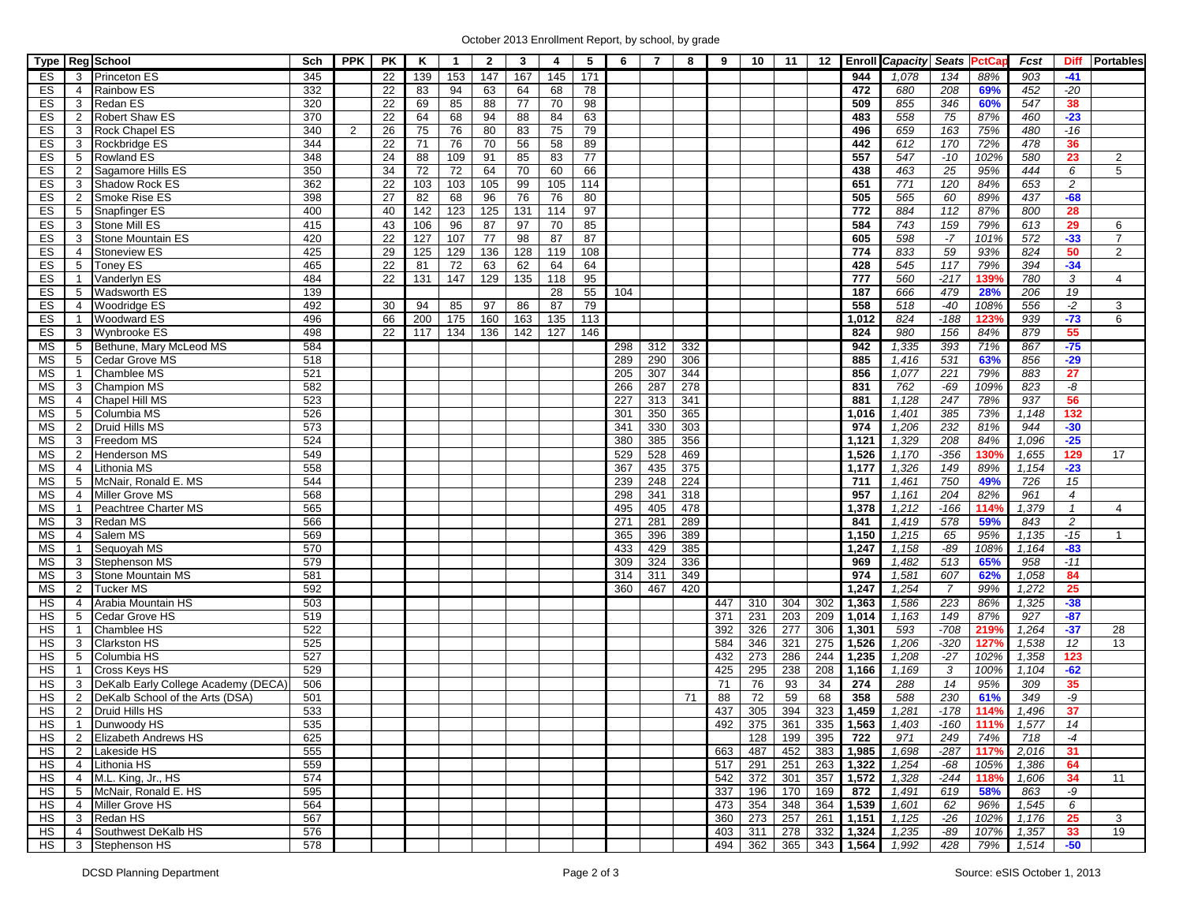| 167<br>ES<br><b>Princeton ES</b><br>345<br>22<br>139<br>153<br>147<br>145<br>171<br>944<br>1,078<br>134<br>88%<br>903<br>$-41$<br>3<br>332<br>472<br>$-20$<br><b>Rainbow ES</b><br>22<br>94<br>63<br>64<br>78<br>680<br>208<br>69%<br>452<br>ES<br>83<br>68<br>$\overline{4}$<br>320<br>22<br>85<br>88<br>77<br>70<br>98<br>509<br>855<br>346<br>60%<br>547<br>38<br>ES<br>3<br>Redan ES<br>69<br>22<br>88<br>$\overline{75}$<br>$-23$<br><b>Robert Shaw ES</b><br>370<br>68<br>94<br>84<br>63<br>483<br>558<br>87%<br>ES<br>64<br>460<br>2<br>340<br>26<br>75<br>76<br>80<br>83<br>75<br>79<br>496<br>659<br>163<br>75%<br>480<br>$-16$<br>ES<br>Rock Chapel ES<br>$\overline{2}$<br>3<br>56<br>170<br>36<br>Rockbridge ES<br>344<br>22<br>76<br>70<br>58<br>89<br>442<br>612<br>72%<br>478<br>ES<br>71<br>3<br>24<br>85<br>77<br>102%<br>ES<br>348<br>88<br>109<br>91<br>83<br>557<br>547<br>$-10$<br>580<br>23<br>5<br><b>Rowland ES</b><br>2<br>Sagamore Hills ES<br>350<br>34<br>72<br>64<br>70<br>66<br>438<br>463<br>25<br>95%<br>6<br>5<br>ES<br>72<br>60<br>444<br>2<br>362<br>22<br>99<br>$\frac{1}{771}$<br>120<br>$\overline{c}$<br>ES<br>Shadow Rock ES<br>103<br>103<br>105<br>105<br>114<br>651<br>84%<br>653<br>3<br>565<br>$-68$<br>Smoke Rise ES<br>398<br>27<br>96<br>76<br>76<br>80<br>505<br>60<br>89%<br>437<br>ES<br>2<br>82<br>68<br>Snapfinger ES<br>400<br>40<br>142<br>123<br>125<br>131<br>114<br>97<br>772<br>884<br>112<br>87%<br>800<br>28<br>ES<br>5<br>97<br>743<br>159<br>Stone Mill ES<br>415<br>43<br>96<br>87<br>70<br>85<br>584<br>79%<br>613<br>29<br>ES<br>106<br>3<br>6<br>420<br>98<br>$-7$<br>$-33$<br>ES<br>Stone Mountain ES<br>22<br>127<br>107<br>77<br>87<br>87<br>605<br>598<br>101%<br>572<br>3<br>$\overline{59}$<br>425<br>29<br>129<br>136<br>128<br>119<br>108<br>774<br>833<br>93%<br>824<br>50<br>ES<br><b>Stoneview ES</b><br>125<br>2<br>$\overline{4}$<br>465<br>22<br>62<br>428<br>$\overline{117}$<br>79%<br>394<br>$-34$<br>ES<br>5<br>Toney ES<br>81<br>72<br>63<br>64<br>64<br>545<br>Vanderlyn ES<br>484<br>22<br>147<br>129<br>135<br>777<br>560<br>$-217$<br>139%<br>780<br>3<br>ES<br>131<br>118<br>95<br>4<br>$\mathbf{1}$<br>139<br>479<br>28%<br>$\overline{19}$<br><b>Wadsworth ES</b><br>55<br>187<br>666<br>206<br>ES<br>5<br>28<br>104<br>492<br>$-2$<br><b>Woodridge ES</b><br>86<br>87<br>79<br>558<br>518<br>$-40$<br>108%<br>556<br>ES<br>30<br>94<br>85<br>97<br>3<br>$\overline{4}$<br>$-73$<br>ES<br><b>Woodward ES</b><br>496<br>66<br>200<br>175<br>160<br>163<br>135<br>824<br>$-188$<br>123%<br>939<br>113<br>1,012<br>6<br>-1<br>498<br>980<br>156<br>879<br>55<br>ES<br>Wynbrooke ES<br>22<br>117<br>136<br>142<br>127<br>146<br>824<br>84%<br>3<br>134<br>Bethune, Mary McLeod MS<br>584<br>942<br>1,335<br>393<br>71%<br>867<br>$-75$<br>MS<br>5<br>298<br>312<br>332<br>$-29$<br><b>Cedar Grove MS</b><br>518<br>289<br>290<br>306<br>885<br>531<br>63%<br>856<br>МS<br>5<br>1,416<br>221<br>79%<br><b>Chamblee MS</b><br>521<br>205<br>307<br>344<br>856<br>1,077<br>883<br>27<br>MS<br>$\mathbf{1}$<br><b>Champion MS</b><br>582<br>287<br>278<br>762<br>$-69$<br>109%<br>823<br>-8<br>MS<br>3<br>266<br>831<br>78%<br>Chapel Hill MS<br>523<br>227<br>313<br>341<br>881<br>1,128<br>247<br>937<br>56<br>ΜS<br>$\overline{4}$<br>Columbia MS<br>526<br>301<br>350<br>365<br>385<br>73%<br>132<br>МS<br>5<br>1,016<br>1,401<br>1,148<br><b>Druid Hills MS</b><br>573<br>341<br>330<br>303<br>1,206<br>232<br>81%<br>944<br>$-30$<br>MS<br>2<br>974<br>$-25$<br>Freedom MS<br>524<br>380<br>385<br>356<br>1,329<br>208<br>84%<br>1,096<br>MS<br>3<br>1,121<br>549<br>529<br>528<br>469<br>1,170<br>$-356$<br>130%<br>1,655<br>129<br>MS<br>2<br><b>Henderson MS</b><br>1,526<br>17<br><b>Lithonia MS</b><br>558<br>367<br>435<br>375<br>1,326<br>149<br>89%<br>$-23$<br>MS<br>1,177<br>1,154<br>$\overline{4}$<br>750<br>McNair, Ronald E. MS<br>544<br>239<br>248<br>224<br>1,461<br>49%<br>726<br>15<br>MS<br>5<br>711<br>Miller Grove MS<br>568<br>298<br>341<br>957<br>204<br>82%<br>961<br>$\overline{4}$<br>MS<br>$\overline{4}$<br>318<br>1,161<br>Peachtree Charter MS<br>565<br>495<br>405<br>478<br>1,378<br>1,212<br>$-166$<br>114%<br>1,379<br>МS<br>$\mathbf{1}$<br>$\overline{4}$<br>$\overline{1}$<br>Redan MS<br>566<br>271<br>281<br>289<br>1,419<br>578<br>59%<br>843<br>$\overline{c}$<br>МS<br>3<br>841<br>$-15$<br>Salem MS<br>569<br>396<br>389<br>1,215<br>95%<br>1,135<br>MS<br>365<br>1,150<br>65<br>$\overline{4}$<br>$\mathbf{1}$<br>Sequoyah MS<br>570<br>433<br>429<br>385<br>1,247<br>$-89$<br>108%<br>$-83$<br>MS<br>1,158<br>1,164<br>$\overline{1}$<br>324<br>65%<br>Stephenson MS<br>579<br>309<br>336<br>969<br>1,482<br>513<br>958<br>$-11$<br>MS<br>3<br>Stone Mountain MS<br>581<br>311<br>974<br>1,581<br>607<br>62%<br>84<br>MS<br>3<br>314<br>349<br>1,058<br>99%<br><b>Tucker MS</b><br>592<br>360<br>467<br>420<br>1,247<br>1,254<br>$\overline{7}$<br>1,272<br>25<br>MS<br>2<br>$-38$<br>Arabia Mountain HS<br>503<br>1,363<br>1,586<br>223<br>86%<br>НS<br>447<br>310<br>304<br>302<br>1,325<br>$\overline{4}$<br>$-87$<br><b>Cedar Grove HS</b><br>519<br>203<br>1,014<br>1,163<br>149<br>87%<br>927<br>НS<br>5<br>371<br>231<br>209<br>H <sub>S</sub><br>593<br><b>Chamblee HS</b><br>522<br>392<br>326<br>277<br>306<br>1,301<br>$-708$<br>219%<br>1,264<br>$-37$<br>28<br>$\overline{1}$<br>HS<br>525<br>321<br>275<br>1,526<br>1,206<br>$-320$<br>12<br>13<br><b>Clarkston HS</b><br>584<br>346<br>127%<br>1,538<br>3<br>527<br>$-27$<br>HS<br>Columbia HS<br>432<br>273<br>286<br>244<br>1,235<br>1,208<br>102%<br>1,358<br>123<br>5<br>529<br>HS<br>295<br>238<br>208<br>1,166<br>1,169<br>3<br>100%<br>$-62$<br><b>Cross Keys HS</b><br>425<br>1,104<br>$\overline{1}$<br>HS<br>506<br>76<br>93<br>14<br>95%<br>DeKalb Early College Academy (DECA)<br>71<br>34<br>274<br>288<br>309<br>35<br>3<br>501<br>59<br>68<br>358<br>588<br>230<br>-9<br>HS<br>88<br>72<br>61%<br>349<br>DeKalb School of the Arts (DSA)<br>71<br>2<br>$\overline{HS}$<br>533<br>437<br>305<br>394<br>323<br>1,459<br>1,281<br>$-178$<br>114%<br>1,496<br>37<br>2<br>Druid Hills HS<br>HS<br>535<br>492 375 361 335 1,563<br>1,403<br>$-160$<br>1,577<br>$\overline{14}$<br>1 Dunwoody HS<br>111%<br>625<br>722<br>HS  <br>2 Elizabeth Andrews HS<br>128 199<br>395<br>971<br>249<br>74%<br>718<br>$-4$<br>555<br>487 452<br>31<br><b>HS</b><br>2 Lakeside HS<br>663<br>383 1,985<br>1,698<br>-287<br>117%<br>2,016<br><b>HS</b><br>4 Lithonia HS<br>559<br>517 291 251<br>263 1,322<br>1,254<br>-68<br>105%<br>1,386<br>64<br>574<br><b>HS</b><br>4 M.L. King, Jr., HS<br>372 301<br>357<br>1,572<br>1,328<br>$-244$<br>34<br>11<br>542<br>118%<br>1,606<br>HS<br>5 McNair, Ronald E. HS<br>595<br>196 170<br>337<br>169<br>872<br>619<br>58%<br>-9<br>1,491<br>863<br>564<br><b>HS</b><br>4 Miller Grove HS<br>354 348<br>364 1,539<br>6<br>473<br>1,601<br>62<br>96%<br>1,545<br>HS<br>3 Redan HS<br>567<br>257<br>$-26$<br>25<br>360<br>273<br>261 1,151<br>1,125<br>102%<br>1,176<br>3<br>576<br>311 278 332 1,324 1,235<br>19<br><b>HS</b><br>4 Southwest DeKalb HS<br>-89<br>107%<br>1,357<br>33 <sub>o</sub><br>403<br>HS 3 Stephenson HS<br>578<br>$-50$<br>494<br>362 365 343 1,564<br>1,992<br>428<br>79% 1,514 |  | Type   Reg School | Sch | PPK | PK | K | $\overline{\mathbf{1}}$ | $\overline{2}$ | 3 | 4 | 5 | 6 | 7 | 8 | 9 | 10 | 11 | 12 | <b>Enroll Capacity</b> | Seats PctCap | Fcst | Diff Portables |
|----------------------------------------------------------------------------------------------------------------------------------------------------------------------------------------------------------------------------------------------------------------------------------------------------------------------------------------------------------------------------------------------------------------------------------------------------------------------------------------------------------------------------------------------------------------------------------------------------------------------------------------------------------------------------------------------------------------------------------------------------------------------------------------------------------------------------------------------------------------------------------------------------------------------------------------------------------------------------------------------------------------------------------------------------------------------------------------------------------------------------------------------------------------------------------------------------------------------------------------------------------------------------------------------------------------------------------------------------------------------------------------------------------------------------------------------------------------------------------------------------------------------------------------------------------------------------------------------------------------------------------------------------------------------------------------------------------------------------------------------------------------------------------------------------------------------------------------------------------------------------------------------------------------------------------------------------------------------------------------------------------------------------------------------------------------------------------------------------------------------------------------------------------------------------------------------------------------------------------------------------------------------------------------------------------------------------------------------------------------------------------------------------------------------------------------------------------------------------------------------------------------------------------------------------------------------------------------------------------------------------------------------------------------------------------------------------------------------------------------------------------------------------------------------------------------------------------------------------------------------------------------------------------------------------------------------------------------------------------------------------------------------------------------------------------------------------------------------------------------------------------------------------------------------------------------------------------------------------------------------------------------------------------------------------------------------------------------------------------------------------------------------------------------------------------------------------------------------------------------------------------------------------------------------------------------------------------------------------------------------------------------------------------------------------------------------------------------------------------------------------------------------------------------------------------------------------------------------------------------------------------------------------------------------------------------------------------------------------------------------------------------------------------------------------------------------------------------------------------------------------------------------------------------------------------------------------------------------------------------------------------------------------------------------------------------------------------------------------------------------------------------------------------------------------------------------------------------------------------------------------------------------------------------------------------------------------------------------------------------------------------------------------------------------------------------------------------------------------------------------------------------------------------------------------------------------------------------------------------------------------------------------------------------------------------------------------------------------------------------------------------------------------------------------------------------------------------------------------------------------------------------------------------------------------------------------------------------------------------------------------------------------------------------------------------------------------------------------------------------------------------------------------------------------------------------------------------------------------------------------------------------------------------------------------------------------------------------------------------------------------------------------------------------------------------------------------------------------------------------------------------------------------------------------------------------------------------------------------------------------------------------------------------------------------------------------------------------------------------------------------------------------------------------------------------------------------------------------------------------------------------------------------------------------------------------------------------------------------------------------------------------------------------------------------------------------------------------------------------------------------------------------------------------------------------------------------------------------------------------------------------------------------------------------------------------------------------------------------------------------------------------------------------------------------------------------------------------------------------------------------------------------------------------------------------------------------------------------------------------------------------------------------------------------------------------------------------------------------------------------------------------------------------------------------------------------------------------------------------------------------------------------------------------------------------------------------------------------------------------------------------------------------------------------------------------------------------------------------|--|-------------------|-----|-----|----|---|-------------------------|----------------|---|---|---|---|---|---|---|----|----|----|------------------------|--------------|------|----------------|
|                                                                                                                                                                                                                                                                                                                                                                                                                                                                                                                                                                                                                                                                                                                                                                                                                                                                                                                                                                                                                                                                                                                                                                                                                                                                                                                                                                                                                                                                                                                                                                                                                                                                                                                                                                                                                                                                                                                                                                                                                                                                                                                                                                                                                                                                                                                                                                                                                                                                                                                                                                                                                                                                                                                                                                                                                                                                                                                                                                                                                                                                                                                                                                                                                                                                                                                                                                                                                                                                                                                                                                                                                                                                                                                                                                                                                                                                                                                                                                                                                                                                                                                                                                                                                                                                                                                                                                                                                                                                                                                                                                                                                                                                                                                                                                                                                                                                                                                                                                                                                                                                                                                                                                                                                                                                                                                                                                                                                                                                                                                                                                                                                                                                                                                                                                                                                                                                                                                                                                                                                                                                                                                                                                                                                                                                                                                                                                                                                                                                                                                                                                                                                                                                                                                                                                                                                                                                                                                                                                                                                                                                                                                                                                                                                                                                                                                                                    |  |                   |     |     |    |   |                         |                |   |   |   |   |   |   |   |    |    |    |                        |              |      |                |
|                                                                                                                                                                                                                                                                                                                                                                                                                                                                                                                                                                                                                                                                                                                                                                                                                                                                                                                                                                                                                                                                                                                                                                                                                                                                                                                                                                                                                                                                                                                                                                                                                                                                                                                                                                                                                                                                                                                                                                                                                                                                                                                                                                                                                                                                                                                                                                                                                                                                                                                                                                                                                                                                                                                                                                                                                                                                                                                                                                                                                                                                                                                                                                                                                                                                                                                                                                                                                                                                                                                                                                                                                                                                                                                                                                                                                                                                                                                                                                                                                                                                                                                                                                                                                                                                                                                                                                                                                                                                                                                                                                                                                                                                                                                                                                                                                                                                                                                                                                                                                                                                                                                                                                                                                                                                                                                                                                                                                                                                                                                                                                                                                                                                                                                                                                                                                                                                                                                                                                                                                                                                                                                                                                                                                                                                                                                                                                                                                                                                                                                                                                                                                                                                                                                                                                                                                                                                                                                                                                                                                                                                                                                                                                                                                                                                                                                                                    |  |                   |     |     |    |   |                         |                |   |   |   |   |   |   |   |    |    |    |                        |              |      |                |
|                                                                                                                                                                                                                                                                                                                                                                                                                                                                                                                                                                                                                                                                                                                                                                                                                                                                                                                                                                                                                                                                                                                                                                                                                                                                                                                                                                                                                                                                                                                                                                                                                                                                                                                                                                                                                                                                                                                                                                                                                                                                                                                                                                                                                                                                                                                                                                                                                                                                                                                                                                                                                                                                                                                                                                                                                                                                                                                                                                                                                                                                                                                                                                                                                                                                                                                                                                                                                                                                                                                                                                                                                                                                                                                                                                                                                                                                                                                                                                                                                                                                                                                                                                                                                                                                                                                                                                                                                                                                                                                                                                                                                                                                                                                                                                                                                                                                                                                                                                                                                                                                                                                                                                                                                                                                                                                                                                                                                                                                                                                                                                                                                                                                                                                                                                                                                                                                                                                                                                                                                                                                                                                                                                                                                                                                                                                                                                                                                                                                                                                                                                                                                                                                                                                                                                                                                                                                                                                                                                                                                                                                                                                                                                                                                                                                                                                                                    |  |                   |     |     |    |   |                         |                |   |   |   |   |   |   |   |    |    |    |                        |              |      |                |
|                                                                                                                                                                                                                                                                                                                                                                                                                                                                                                                                                                                                                                                                                                                                                                                                                                                                                                                                                                                                                                                                                                                                                                                                                                                                                                                                                                                                                                                                                                                                                                                                                                                                                                                                                                                                                                                                                                                                                                                                                                                                                                                                                                                                                                                                                                                                                                                                                                                                                                                                                                                                                                                                                                                                                                                                                                                                                                                                                                                                                                                                                                                                                                                                                                                                                                                                                                                                                                                                                                                                                                                                                                                                                                                                                                                                                                                                                                                                                                                                                                                                                                                                                                                                                                                                                                                                                                                                                                                                                                                                                                                                                                                                                                                                                                                                                                                                                                                                                                                                                                                                                                                                                                                                                                                                                                                                                                                                                                                                                                                                                                                                                                                                                                                                                                                                                                                                                                                                                                                                                                                                                                                                                                                                                                                                                                                                                                                                                                                                                                                                                                                                                                                                                                                                                                                                                                                                                                                                                                                                                                                                                                                                                                                                                                                                                                                                                    |  |                   |     |     |    |   |                         |                |   |   |   |   |   |   |   |    |    |    |                        |              |      |                |
|                                                                                                                                                                                                                                                                                                                                                                                                                                                                                                                                                                                                                                                                                                                                                                                                                                                                                                                                                                                                                                                                                                                                                                                                                                                                                                                                                                                                                                                                                                                                                                                                                                                                                                                                                                                                                                                                                                                                                                                                                                                                                                                                                                                                                                                                                                                                                                                                                                                                                                                                                                                                                                                                                                                                                                                                                                                                                                                                                                                                                                                                                                                                                                                                                                                                                                                                                                                                                                                                                                                                                                                                                                                                                                                                                                                                                                                                                                                                                                                                                                                                                                                                                                                                                                                                                                                                                                                                                                                                                                                                                                                                                                                                                                                                                                                                                                                                                                                                                                                                                                                                                                                                                                                                                                                                                                                                                                                                                                                                                                                                                                                                                                                                                                                                                                                                                                                                                                                                                                                                                                                                                                                                                                                                                                                                                                                                                                                                                                                                                                                                                                                                                                                                                                                                                                                                                                                                                                                                                                                                                                                                                                                                                                                                                                                                                                                                                    |  |                   |     |     |    |   |                         |                |   |   |   |   |   |   |   |    |    |    |                        |              |      |                |
|                                                                                                                                                                                                                                                                                                                                                                                                                                                                                                                                                                                                                                                                                                                                                                                                                                                                                                                                                                                                                                                                                                                                                                                                                                                                                                                                                                                                                                                                                                                                                                                                                                                                                                                                                                                                                                                                                                                                                                                                                                                                                                                                                                                                                                                                                                                                                                                                                                                                                                                                                                                                                                                                                                                                                                                                                                                                                                                                                                                                                                                                                                                                                                                                                                                                                                                                                                                                                                                                                                                                                                                                                                                                                                                                                                                                                                                                                                                                                                                                                                                                                                                                                                                                                                                                                                                                                                                                                                                                                                                                                                                                                                                                                                                                                                                                                                                                                                                                                                                                                                                                                                                                                                                                                                                                                                                                                                                                                                                                                                                                                                                                                                                                                                                                                                                                                                                                                                                                                                                                                                                                                                                                                                                                                                                                                                                                                                                                                                                                                                                                                                                                                                                                                                                                                                                                                                                                                                                                                                                                                                                                                                                                                                                                                                                                                                                                                    |  |                   |     |     |    |   |                         |                |   |   |   |   |   |   |   |    |    |    |                        |              |      |                |
|                                                                                                                                                                                                                                                                                                                                                                                                                                                                                                                                                                                                                                                                                                                                                                                                                                                                                                                                                                                                                                                                                                                                                                                                                                                                                                                                                                                                                                                                                                                                                                                                                                                                                                                                                                                                                                                                                                                                                                                                                                                                                                                                                                                                                                                                                                                                                                                                                                                                                                                                                                                                                                                                                                                                                                                                                                                                                                                                                                                                                                                                                                                                                                                                                                                                                                                                                                                                                                                                                                                                                                                                                                                                                                                                                                                                                                                                                                                                                                                                                                                                                                                                                                                                                                                                                                                                                                                                                                                                                                                                                                                                                                                                                                                                                                                                                                                                                                                                                                                                                                                                                                                                                                                                                                                                                                                                                                                                                                                                                                                                                                                                                                                                                                                                                                                                                                                                                                                                                                                                                                                                                                                                                                                                                                                                                                                                                                                                                                                                                                                                                                                                                                                                                                                                                                                                                                                                                                                                                                                                                                                                                                                                                                                                                                                                                                                                                    |  |                   |     |     |    |   |                         |                |   |   |   |   |   |   |   |    |    |    |                        |              |      |                |
|                                                                                                                                                                                                                                                                                                                                                                                                                                                                                                                                                                                                                                                                                                                                                                                                                                                                                                                                                                                                                                                                                                                                                                                                                                                                                                                                                                                                                                                                                                                                                                                                                                                                                                                                                                                                                                                                                                                                                                                                                                                                                                                                                                                                                                                                                                                                                                                                                                                                                                                                                                                                                                                                                                                                                                                                                                                                                                                                                                                                                                                                                                                                                                                                                                                                                                                                                                                                                                                                                                                                                                                                                                                                                                                                                                                                                                                                                                                                                                                                                                                                                                                                                                                                                                                                                                                                                                                                                                                                                                                                                                                                                                                                                                                                                                                                                                                                                                                                                                                                                                                                                                                                                                                                                                                                                                                                                                                                                                                                                                                                                                                                                                                                                                                                                                                                                                                                                                                                                                                                                                                                                                                                                                                                                                                                                                                                                                                                                                                                                                                                                                                                                                                                                                                                                                                                                                                                                                                                                                                                                                                                                                                                                                                                                                                                                                                                                    |  |                   |     |     |    |   |                         |                |   |   |   |   |   |   |   |    |    |    |                        |              |      |                |
|                                                                                                                                                                                                                                                                                                                                                                                                                                                                                                                                                                                                                                                                                                                                                                                                                                                                                                                                                                                                                                                                                                                                                                                                                                                                                                                                                                                                                                                                                                                                                                                                                                                                                                                                                                                                                                                                                                                                                                                                                                                                                                                                                                                                                                                                                                                                                                                                                                                                                                                                                                                                                                                                                                                                                                                                                                                                                                                                                                                                                                                                                                                                                                                                                                                                                                                                                                                                                                                                                                                                                                                                                                                                                                                                                                                                                                                                                                                                                                                                                                                                                                                                                                                                                                                                                                                                                                                                                                                                                                                                                                                                                                                                                                                                                                                                                                                                                                                                                                                                                                                                                                                                                                                                                                                                                                                                                                                                                                                                                                                                                                                                                                                                                                                                                                                                                                                                                                                                                                                                                                                                                                                                                                                                                                                                                                                                                                                                                                                                                                                                                                                                                                                                                                                                                                                                                                                                                                                                                                                                                                                                                                                                                                                                                                                                                                                                                    |  |                   |     |     |    |   |                         |                |   |   |   |   |   |   |   |    |    |    |                        |              |      |                |
|                                                                                                                                                                                                                                                                                                                                                                                                                                                                                                                                                                                                                                                                                                                                                                                                                                                                                                                                                                                                                                                                                                                                                                                                                                                                                                                                                                                                                                                                                                                                                                                                                                                                                                                                                                                                                                                                                                                                                                                                                                                                                                                                                                                                                                                                                                                                                                                                                                                                                                                                                                                                                                                                                                                                                                                                                                                                                                                                                                                                                                                                                                                                                                                                                                                                                                                                                                                                                                                                                                                                                                                                                                                                                                                                                                                                                                                                                                                                                                                                                                                                                                                                                                                                                                                                                                                                                                                                                                                                                                                                                                                                                                                                                                                                                                                                                                                                                                                                                                                                                                                                                                                                                                                                                                                                                                                                                                                                                                                                                                                                                                                                                                                                                                                                                                                                                                                                                                                                                                                                                                                                                                                                                                                                                                                                                                                                                                                                                                                                                                                                                                                                                                                                                                                                                                                                                                                                                                                                                                                                                                                                                                                                                                                                                                                                                                                                                    |  |                   |     |     |    |   |                         |                |   |   |   |   |   |   |   |    |    |    |                        |              |      |                |
|                                                                                                                                                                                                                                                                                                                                                                                                                                                                                                                                                                                                                                                                                                                                                                                                                                                                                                                                                                                                                                                                                                                                                                                                                                                                                                                                                                                                                                                                                                                                                                                                                                                                                                                                                                                                                                                                                                                                                                                                                                                                                                                                                                                                                                                                                                                                                                                                                                                                                                                                                                                                                                                                                                                                                                                                                                                                                                                                                                                                                                                                                                                                                                                                                                                                                                                                                                                                                                                                                                                                                                                                                                                                                                                                                                                                                                                                                                                                                                                                                                                                                                                                                                                                                                                                                                                                                                                                                                                                                                                                                                                                                                                                                                                                                                                                                                                                                                                                                                                                                                                                                                                                                                                                                                                                                                                                                                                                                                                                                                                                                                                                                                                                                                                                                                                                                                                                                                                                                                                                                                                                                                                                                                                                                                                                                                                                                                                                                                                                                                                                                                                                                                                                                                                                                                                                                                                                                                                                                                                                                                                                                                                                                                                                                                                                                                                                                    |  |                   |     |     |    |   |                         |                |   |   |   |   |   |   |   |    |    |    |                        |              |      |                |
|                                                                                                                                                                                                                                                                                                                                                                                                                                                                                                                                                                                                                                                                                                                                                                                                                                                                                                                                                                                                                                                                                                                                                                                                                                                                                                                                                                                                                                                                                                                                                                                                                                                                                                                                                                                                                                                                                                                                                                                                                                                                                                                                                                                                                                                                                                                                                                                                                                                                                                                                                                                                                                                                                                                                                                                                                                                                                                                                                                                                                                                                                                                                                                                                                                                                                                                                                                                                                                                                                                                                                                                                                                                                                                                                                                                                                                                                                                                                                                                                                                                                                                                                                                                                                                                                                                                                                                                                                                                                                                                                                                                                                                                                                                                                                                                                                                                                                                                                                                                                                                                                                                                                                                                                                                                                                                                                                                                                                                                                                                                                                                                                                                                                                                                                                                                                                                                                                                                                                                                                                                                                                                                                                                                                                                                                                                                                                                                                                                                                                                                                                                                                                                                                                                                                                                                                                                                                                                                                                                                                                                                                                                                                                                                                                                                                                                                                                    |  |                   |     |     |    |   |                         |                |   |   |   |   |   |   |   |    |    |    |                        |              |      |                |
|                                                                                                                                                                                                                                                                                                                                                                                                                                                                                                                                                                                                                                                                                                                                                                                                                                                                                                                                                                                                                                                                                                                                                                                                                                                                                                                                                                                                                                                                                                                                                                                                                                                                                                                                                                                                                                                                                                                                                                                                                                                                                                                                                                                                                                                                                                                                                                                                                                                                                                                                                                                                                                                                                                                                                                                                                                                                                                                                                                                                                                                                                                                                                                                                                                                                                                                                                                                                                                                                                                                                                                                                                                                                                                                                                                                                                                                                                                                                                                                                                                                                                                                                                                                                                                                                                                                                                                                                                                                                                                                                                                                                                                                                                                                                                                                                                                                                                                                                                                                                                                                                                                                                                                                                                                                                                                                                                                                                                                                                                                                                                                                                                                                                                                                                                                                                                                                                                                                                                                                                                                                                                                                                                                                                                                                                                                                                                                                                                                                                                                                                                                                                                                                                                                                                                                                                                                                                                                                                                                                                                                                                                                                                                                                                                                                                                                                                                    |  |                   |     |     |    |   |                         |                |   |   |   |   |   |   |   |    |    |    |                        |              |      |                |
|                                                                                                                                                                                                                                                                                                                                                                                                                                                                                                                                                                                                                                                                                                                                                                                                                                                                                                                                                                                                                                                                                                                                                                                                                                                                                                                                                                                                                                                                                                                                                                                                                                                                                                                                                                                                                                                                                                                                                                                                                                                                                                                                                                                                                                                                                                                                                                                                                                                                                                                                                                                                                                                                                                                                                                                                                                                                                                                                                                                                                                                                                                                                                                                                                                                                                                                                                                                                                                                                                                                                                                                                                                                                                                                                                                                                                                                                                                                                                                                                                                                                                                                                                                                                                                                                                                                                                                                                                                                                                                                                                                                                                                                                                                                                                                                                                                                                                                                                                                                                                                                                                                                                                                                                                                                                                                                                                                                                                                                                                                                                                                                                                                                                                                                                                                                                                                                                                                                                                                                                                                                                                                                                                                                                                                                                                                                                                                                                                                                                                                                                                                                                                                                                                                                                                                                                                                                                                                                                                                                                                                                                                                                                                                                                                                                                                                                                                    |  |                   |     |     |    |   |                         |                |   |   |   |   |   |   |   |    |    |    |                        |              |      |                |
|                                                                                                                                                                                                                                                                                                                                                                                                                                                                                                                                                                                                                                                                                                                                                                                                                                                                                                                                                                                                                                                                                                                                                                                                                                                                                                                                                                                                                                                                                                                                                                                                                                                                                                                                                                                                                                                                                                                                                                                                                                                                                                                                                                                                                                                                                                                                                                                                                                                                                                                                                                                                                                                                                                                                                                                                                                                                                                                                                                                                                                                                                                                                                                                                                                                                                                                                                                                                                                                                                                                                                                                                                                                                                                                                                                                                                                                                                                                                                                                                                                                                                                                                                                                                                                                                                                                                                                                                                                                                                                                                                                                                                                                                                                                                                                                                                                                                                                                                                                                                                                                                                                                                                                                                                                                                                                                                                                                                                                                                                                                                                                                                                                                                                                                                                                                                                                                                                                                                                                                                                                                                                                                                                                                                                                                                                                                                                                                                                                                                                                                                                                                                                                                                                                                                                                                                                                                                                                                                                                                                                                                                                                                                                                                                                                                                                                                                                    |  |                   |     |     |    |   |                         |                |   |   |   |   |   |   |   |    |    |    |                        |              |      |                |
|                                                                                                                                                                                                                                                                                                                                                                                                                                                                                                                                                                                                                                                                                                                                                                                                                                                                                                                                                                                                                                                                                                                                                                                                                                                                                                                                                                                                                                                                                                                                                                                                                                                                                                                                                                                                                                                                                                                                                                                                                                                                                                                                                                                                                                                                                                                                                                                                                                                                                                                                                                                                                                                                                                                                                                                                                                                                                                                                                                                                                                                                                                                                                                                                                                                                                                                                                                                                                                                                                                                                                                                                                                                                                                                                                                                                                                                                                                                                                                                                                                                                                                                                                                                                                                                                                                                                                                                                                                                                                                                                                                                                                                                                                                                                                                                                                                                                                                                                                                                                                                                                                                                                                                                                                                                                                                                                                                                                                                                                                                                                                                                                                                                                                                                                                                                                                                                                                                                                                                                                                                                                                                                                                                                                                                                                                                                                                                                                                                                                                                                                                                                                                                                                                                                                                                                                                                                                                                                                                                                                                                                                                                                                                                                                                                                                                                                                                    |  |                   |     |     |    |   |                         |                |   |   |   |   |   |   |   |    |    |    |                        |              |      |                |
|                                                                                                                                                                                                                                                                                                                                                                                                                                                                                                                                                                                                                                                                                                                                                                                                                                                                                                                                                                                                                                                                                                                                                                                                                                                                                                                                                                                                                                                                                                                                                                                                                                                                                                                                                                                                                                                                                                                                                                                                                                                                                                                                                                                                                                                                                                                                                                                                                                                                                                                                                                                                                                                                                                                                                                                                                                                                                                                                                                                                                                                                                                                                                                                                                                                                                                                                                                                                                                                                                                                                                                                                                                                                                                                                                                                                                                                                                                                                                                                                                                                                                                                                                                                                                                                                                                                                                                                                                                                                                                                                                                                                                                                                                                                                                                                                                                                                                                                                                                                                                                                                                                                                                                                                                                                                                                                                                                                                                                                                                                                                                                                                                                                                                                                                                                                                                                                                                                                                                                                                                                                                                                                                                                                                                                                                                                                                                                                                                                                                                                                                                                                                                                                                                                                                                                                                                                                                                                                                                                                                                                                                                                                                                                                                                                                                                                                                                    |  |                   |     |     |    |   |                         |                |   |   |   |   |   |   |   |    |    |    |                        |              |      |                |
|                                                                                                                                                                                                                                                                                                                                                                                                                                                                                                                                                                                                                                                                                                                                                                                                                                                                                                                                                                                                                                                                                                                                                                                                                                                                                                                                                                                                                                                                                                                                                                                                                                                                                                                                                                                                                                                                                                                                                                                                                                                                                                                                                                                                                                                                                                                                                                                                                                                                                                                                                                                                                                                                                                                                                                                                                                                                                                                                                                                                                                                                                                                                                                                                                                                                                                                                                                                                                                                                                                                                                                                                                                                                                                                                                                                                                                                                                                                                                                                                                                                                                                                                                                                                                                                                                                                                                                                                                                                                                                                                                                                                                                                                                                                                                                                                                                                                                                                                                                                                                                                                                                                                                                                                                                                                                                                                                                                                                                                                                                                                                                                                                                                                                                                                                                                                                                                                                                                                                                                                                                                                                                                                                                                                                                                                                                                                                                                                                                                                                                                                                                                                                                                                                                                                                                                                                                                                                                                                                                                                                                                                                                                                                                                                                                                                                                                                                    |  |                   |     |     |    |   |                         |                |   |   |   |   |   |   |   |    |    |    |                        |              |      |                |
|                                                                                                                                                                                                                                                                                                                                                                                                                                                                                                                                                                                                                                                                                                                                                                                                                                                                                                                                                                                                                                                                                                                                                                                                                                                                                                                                                                                                                                                                                                                                                                                                                                                                                                                                                                                                                                                                                                                                                                                                                                                                                                                                                                                                                                                                                                                                                                                                                                                                                                                                                                                                                                                                                                                                                                                                                                                                                                                                                                                                                                                                                                                                                                                                                                                                                                                                                                                                                                                                                                                                                                                                                                                                                                                                                                                                                                                                                                                                                                                                                                                                                                                                                                                                                                                                                                                                                                                                                                                                                                                                                                                                                                                                                                                                                                                                                                                                                                                                                                                                                                                                                                                                                                                                                                                                                                                                                                                                                                                                                                                                                                                                                                                                                                                                                                                                                                                                                                                                                                                                                                                                                                                                                                                                                                                                                                                                                                                                                                                                                                                                                                                                                                                                                                                                                                                                                                                                                                                                                                                                                                                                                                                                                                                                                                                                                                                                                    |  |                   |     |     |    |   |                         |                |   |   |   |   |   |   |   |    |    |    |                        |              |      |                |
|                                                                                                                                                                                                                                                                                                                                                                                                                                                                                                                                                                                                                                                                                                                                                                                                                                                                                                                                                                                                                                                                                                                                                                                                                                                                                                                                                                                                                                                                                                                                                                                                                                                                                                                                                                                                                                                                                                                                                                                                                                                                                                                                                                                                                                                                                                                                                                                                                                                                                                                                                                                                                                                                                                                                                                                                                                                                                                                                                                                                                                                                                                                                                                                                                                                                                                                                                                                                                                                                                                                                                                                                                                                                                                                                                                                                                                                                                                                                                                                                                                                                                                                                                                                                                                                                                                                                                                                                                                                                                                                                                                                                                                                                                                                                                                                                                                                                                                                                                                                                                                                                                                                                                                                                                                                                                                                                                                                                                                                                                                                                                                                                                                                                                                                                                                                                                                                                                                                                                                                                                                                                                                                                                                                                                                                                                                                                                                                                                                                                                                                                                                                                                                                                                                                                                                                                                                                                                                                                                                                                                                                                                                                                                                                                                                                                                                                                                    |  |                   |     |     |    |   |                         |                |   |   |   |   |   |   |   |    |    |    |                        |              |      |                |
|                                                                                                                                                                                                                                                                                                                                                                                                                                                                                                                                                                                                                                                                                                                                                                                                                                                                                                                                                                                                                                                                                                                                                                                                                                                                                                                                                                                                                                                                                                                                                                                                                                                                                                                                                                                                                                                                                                                                                                                                                                                                                                                                                                                                                                                                                                                                                                                                                                                                                                                                                                                                                                                                                                                                                                                                                                                                                                                                                                                                                                                                                                                                                                                                                                                                                                                                                                                                                                                                                                                                                                                                                                                                                                                                                                                                                                                                                                                                                                                                                                                                                                                                                                                                                                                                                                                                                                                                                                                                                                                                                                                                                                                                                                                                                                                                                                                                                                                                                                                                                                                                                                                                                                                                                                                                                                                                                                                                                                                                                                                                                                                                                                                                                                                                                                                                                                                                                                                                                                                                                                                                                                                                                                                                                                                                                                                                                                                                                                                                                                                                                                                                                                                                                                                                                                                                                                                                                                                                                                                                                                                                                                                                                                                                                                                                                                                                                    |  |                   |     |     |    |   |                         |                |   |   |   |   |   |   |   |    |    |    |                        |              |      |                |
|                                                                                                                                                                                                                                                                                                                                                                                                                                                                                                                                                                                                                                                                                                                                                                                                                                                                                                                                                                                                                                                                                                                                                                                                                                                                                                                                                                                                                                                                                                                                                                                                                                                                                                                                                                                                                                                                                                                                                                                                                                                                                                                                                                                                                                                                                                                                                                                                                                                                                                                                                                                                                                                                                                                                                                                                                                                                                                                                                                                                                                                                                                                                                                                                                                                                                                                                                                                                                                                                                                                                                                                                                                                                                                                                                                                                                                                                                                                                                                                                                                                                                                                                                                                                                                                                                                                                                                                                                                                                                                                                                                                                                                                                                                                                                                                                                                                                                                                                                                                                                                                                                                                                                                                                                                                                                                                                                                                                                                                                                                                                                                                                                                                                                                                                                                                                                                                                                                                                                                                                                                                                                                                                                                                                                                                                                                                                                                                                                                                                                                                                                                                                                                                                                                                                                                                                                                                                                                                                                                                                                                                                                                                                                                                                                                                                                                                                                    |  |                   |     |     |    |   |                         |                |   |   |   |   |   |   |   |    |    |    |                        |              |      |                |
|                                                                                                                                                                                                                                                                                                                                                                                                                                                                                                                                                                                                                                                                                                                                                                                                                                                                                                                                                                                                                                                                                                                                                                                                                                                                                                                                                                                                                                                                                                                                                                                                                                                                                                                                                                                                                                                                                                                                                                                                                                                                                                                                                                                                                                                                                                                                                                                                                                                                                                                                                                                                                                                                                                                                                                                                                                                                                                                                                                                                                                                                                                                                                                                                                                                                                                                                                                                                                                                                                                                                                                                                                                                                                                                                                                                                                                                                                                                                                                                                                                                                                                                                                                                                                                                                                                                                                                                                                                                                                                                                                                                                                                                                                                                                                                                                                                                                                                                                                                                                                                                                                                                                                                                                                                                                                                                                                                                                                                                                                                                                                                                                                                                                                                                                                                                                                                                                                                                                                                                                                                                                                                                                                                                                                                                                                                                                                                                                                                                                                                                                                                                                                                                                                                                                                                                                                                                                                                                                                                                                                                                                                                                                                                                                                                                                                                                                                    |  |                   |     |     |    |   |                         |                |   |   |   |   |   |   |   |    |    |    |                        |              |      |                |
|                                                                                                                                                                                                                                                                                                                                                                                                                                                                                                                                                                                                                                                                                                                                                                                                                                                                                                                                                                                                                                                                                                                                                                                                                                                                                                                                                                                                                                                                                                                                                                                                                                                                                                                                                                                                                                                                                                                                                                                                                                                                                                                                                                                                                                                                                                                                                                                                                                                                                                                                                                                                                                                                                                                                                                                                                                                                                                                                                                                                                                                                                                                                                                                                                                                                                                                                                                                                                                                                                                                                                                                                                                                                                                                                                                                                                                                                                                                                                                                                                                                                                                                                                                                                                                                                                                                                                                                                                                                                                                                                                                                                                                                                                                                                                                                                                                                                                                                                                                                                                                                                                                                                                                                                                                                                                                                                                                                                                                                                                                                                                                                                                                                                                                                                                                                                                                                                                                                                                                                                                                                                                                                                                                                                                                                                                                                                                                                                                                                                                                                                                                                                                                                                                                                                                                                                                                                                                                                                                                                                                                                                                                                                                                                                                                                                                                                                                    |  |                   |     |     |    |   |                         |                |   |   |   |   |   |   |   |    |    |    |                        |              |      |                |
|                                                                                                                                                                                                                                                                                                                                                                                                                                                                                                                                                                                                                                                                                                                                                                                                                                                                                                                                                                                                                                                                                                                                                                                                                                                                                                                                                                                                                                                                                                                                                                                                                                                                                                                                                                                                                                                                                                                                                                                                                                                                                                                                                                                                                                                                                                                                                                                                                                                                                                                                                                                                                                                                                                                                                                                                                                                                                                                                                                                                                                                                                                                                                                                                                                                                                                                                                                                                                                                                                                                                                                                                                                                                                                                                                                                                                                                                                                                                                                                                                                                                                                                                                                                                                                                                                                                                                                                                                                                                                                                                                                                                                                                                                                                                                                                                                                                                                                                                                                                                                                                                                                                                                                                                                                                                                                                                                                                                                                                                                                                                                                                                                                                                                                                                                                                                                                                                                                                                                                                                                                                                                                                                                                                                                                                                                                                                                                                                                                                                                                                                                                                                                                                                                                                                                                                                                                                                                                                                                                                                                                                                                                                                                                                                                                                                                                                                                    |  |                   |     |     |    |   |                         |                |   |   |   |   |   |   |   |    |    |    |                        |              |      |                |
|                                                                                                                                                                                                                                                                                                                                                                                                                                                                                                                                                                                                                                                                                                                                                                                                                                                                                                                                                                                                                                                                                                                                                                                                                                                                                                                                                                                                                                                                                                                                                                                                                                                                                                                                                                                                                                                                                                                                                                                                                                                                                                                                                                                                                                                                                                                                                                                                                                                                                                                                                                                                                                                                                                                                                                                                                                                                                                                                                                                                                                                                                                                                                                                                                                                                                                                                                                                                                                                                                                                                                                                                                                                                                                                                                                                                                                                                                                                                                                                                                                                                                                                                                                                                                                                                                                                                                                                                                                                                                                                                                                                                                                                                                                                                                                                                                                                                                                                                                                                                                                                                                                                                                                                                                                                                                                                                                                                                                                                                                                                                                                                                                                                                                                                                                                                                                                                                                                                                                                                                                                                                                                                                                                                                                                                                                                                                                                                                                                                                                                                                                                                                                                                                                                                                                                                                                                                                                                                                                                                                                                                                                                                                                                                                                                                                                                                                                    |  |                   |     |     |    |   |                         |                |   |   |   |   |   |   |   |    |    |    |                        |              |      |                |
|                                                                                                                                                                                                                                                                                                                                                                                                                                                                                                                                                                                                                                                                                                                                                                                                                                                                                                                                                                                                                                                                                                                                                                                                                                                                                                                                                                                                                                                                                                                                                                                                                                                                                                                                                                                                                                                                                                                                                                                                                                                                                                                                                                                                                                                                                                                                                                                                                                                                                                                                                                                                                                                                                                                                                                                                                                                                                                                                                                                                                                                                                                                                                                                                                                                                                                                                                                                                                                                                                                                                                                                                                                                                                                                                                                                                                                                                                                                                                                                                                                                                                                                                                                                                                                                                                                                                                                                                                                                                                                                                                                                                                                                                                                                                                                                                                                                                                                                                                                                                                                                                                                                                                                                                                                                                                                                                                                                                                                                                                                                                                                                                                                                                                                                                                                                                                                                                                                                                                                                                                                                                                                                                                                                                                                                                                                                                                                                                                                                                                                                                                                                                                                                                                                                                                                                                                                                                                                                                                                                                                                                                                                                                                                                                                                                                                                                                                    |  |                   |     |     |    |   |                         |                |   |   |   |   |   |   |   |    |    |    |                        |              |      |                |
|                                                                                                                                                                                                                                                                                                                                                                                                                                                                                                                                                                                                                                                                                                                                                                                                                                                                                                                                                                                                                                                                                                                                                                                                                                                                                                                                                                                                                                                                                                                                                                                                                                                                                                                                                                                                                                                                                                                                                                                                                                                                                                                                                                                                                                                                                                                                                                                                                                                                                                                                                                                                                                                                                                                                                                                                                                                                                                                                                                                                                                                                                                                                                                                                                                                                                                                                                                                                                                                                                                                                                                                                                                                                                                                                                                                                                                                                                                                                                                                                                                                                                                                                                                                                                                                                                                                                                                                                                                                                                                                                                                                                                                                                                                                                                                                                                                                                                                                                                                                                                                                                                                                                                                                                                                                                                                                                                                                                                                                                                                                                                                                                                                                                                                                                                                                                                                                                                                                                                                                                                                                                                                                                                                                                                                                                                                                                                                                                                                                                                                                                                                                                                                                                                                                                                                                                                                                                                                                                                                                                                                                                                                                                                                                                                                                                                                                                                    |  |                   |     |     |    |   |                         |                |   |   |   |   |   |   |   |    |    |    |                        |              |      |                |
|                                                                                                                                                                                                                                                                                                                                                                                                                                                                                                                                                                                                                                                                                                                                                                                                                                                                                                                                                                                                                                                                                                                                                                                                                                                                                                                                                                                                                                                                                                                                                                                                                                                                                                                                                                                                                                                                                                                                                                                                                                                                                                                                                                                                                                                                                                                                                                                                                                                                                                                                                                                                                                                                                                                                                                                                                                                                                                                                                                                                                                                                                                                                                                                                                                                                                                                                                                                                                                                                                                                                                                                                                                                                                                                                                                                                                                                                                                                                                                                                                                                                                                                                                                                                                                                                                                                                                                                                                                                                                                                                                                                                                                                                                                                                                                                                                                                                                                                                                                                                                                                                                                                                                                                                                                                                                                                                                                                                                                                                                                                                                                                                                                                                                                                                                                                                                                                                                                                                                                                                                                                                                                                                                                                                                                                                                                                                                                                                                                                                                                                                                                                                                                                                                                                                                                                                                                                                                                                                                                                                                                                                                                                                                                                                                                                                                                                                                    |  |                   |     |     |    |   |                         |                |   |   |   |   |   |   |   |    |    |    |                        |              |      |                |
|                                                                                                                                                                                                                                                                                                                                                                                                                                                                                                                                                                                                                                                                                                                                                                                                                                                                                                                                                                                                                                                                                                                                                                                                                                                                                                                                                                                                                                                                                                                                                                                                                                                                                                                                                                                                                                                                                                                                                                                                                                                                                                                                                                                                                                                                                                                                                                                                                                                                                                                                                                                                                                                                                                                                                                                                                                                                                                                                                                                                                                                                                                                                                                                                                                                                                                                                                                                                                                                                                                                                                                                                                                                                                                                                                                                                                                                                                                                                                                                                                                                                                                                                                                                                                                                                                                                                                                                                                                                                                                                                                                                                                                                                                                                                                                                                                                                                                                                                                                                                                                                                                                                                                                                                                                                                                                                                                                                                                                                                                                                                                                                                                                                                                                                                                                                                                                                                                                                                                                                                                                                                                                                                                                                                                                                                                                                                                                                                                                                                                                                                                                                                                                                                                                                                                                                                                                                                                                                                                                                                                                                                                                                                                                                                                                                                                                                                                    |  |                   |     |     |    |   |                         |                |   |   |   |   |   |   |   |    |    |    |                        |              |      |                |
|                                                                                                                                                                                                                                                                                                                                                                                                                                                                                                                                                                                                                                                                                                                                                                                                                                                                                                                                                                                                                                                                                                                                                                                                                                                                                                                                                                                                                                                                                                                                                                                                                                                                                                                                                                                                                                                                                                                                                                                                                                                                                                                                                                                                                                                                                                                                                                                                                                                                                                                                                                                                                                                                                                                                                                                                                                                                                                                                                                                                                                                                                                                                                                                                                                                                                                                                                                                                                                                                                                                                                                                                                                                                                                                                                                                                                                                                                                                                                                                                                                                                                                                                                                                                                                                                                                                                                                                                                                                                                                                                                                                                                                                                                                                                                                                                                                                                                                                                                                                                                                                                                                                                                                                                                                                                                                                                                                                                                                                                                                                                                                                                                                                                                                                                                                                                                                                                                                                                                                                                                                                                                                                                                                                                                                                                                                                                                                                                                                                                                                                                                                                                                                                                                                                                                                                                                                                                                                                                                                                                                                                                                                                                                                                                                                                                                                                                                    |  |                   |     |     |    |   |                         |                |   |   |   |   |   |   |   |    |    |    |                        |              |      |                |
|                                                                                                                                                                                                                                                                                                                                                                                                                                                                                                                                                                                                                                                                                                                                                                                                                                                                                                                                                                                                                                                                                                                                                                                                                                                                                                                                                                                                                                                                                                                                                                                                                                                                                                                                                                                                                                                                                                                                                                                                                                                                                                                                                                                                                                                                                                                                                                                                                                                                                                                                                                                                                                                                                                                                                                                                                                                                                                                                                                                                                                                                                                                                                                                                                                                                                                                                                                                                                                                                                                                                                                                                                                                                                                                                                                                                                                                                                                                                                                                                                                                                                                                                                                                                                                                                                                                                                                                                                                                                                                                                                                                                                                                                                                                                                                                                                                                                                                                                                                                                                                                                                                                                                                                                                                                                                                                                                                                                                                                                                                                                                                                                                                                                                                                                                                                                                                                                                                                                                                                                                                                                                                                                                                                                                                                                                                                                                                                                                                                                                                                                                                                                                                                                                                                                                                                                                                                                                                                                                                                                                                                                                                                                                                                                                                                                                                                                                    |  |                   |     |     |    |   |                         |                |   |   |   |   |   |   |   |    |    |    |                        |              |      |                |
|                                                                                                                                                                                                                                                                                                                                                                                                                                                                                                                                                                                                                                                                                                                                                                                                                                                                                                                                                                                                                                                                                                                                                                                                                                                                                                                                                                                                                                                                                                                                                                                                                                                                                                                                                                                                                                                                                                                                                                                                                                                                                                                                                                                                                                                                                                                                                                                                                                                                                                                                                                                                                                                                                                                                                                                                                                                                                                                                                                                                                                                                                                                                                                                                                                                                                                                                                                                                                                                                                                                                                                                                                                                                                                                                                                                                                                                                                                                                                                                                                                                                                                                                                                                                                                                                                                                                                                                                                                                                                                                                                                                                                                                                                                                                                                                                                                                                                                                                                                                                                                                                                                                                                                                                                                                                                                                                                                                                                                                                                                                                                                                                                                                                                                                                                                                                                                                                                                                                                                                                                                                                                                                                                                                                                                                                                                                                                                                                                                                                                                                                                                                                                                                                                                                                                                                                                                                                                                                                                                                                                                                                                                                                                                                                                                                                                                                                                    |  |                   |     |     |    |   |                         |                |   |   |   |   |   |   |   |    |    |    |                        |              |      |                |
|                                                                                                                                                                                                                                                                                                                                                                                                                                                                                                                                                                                                                                                                                                                                                                                                                                                                                                                                                                                                                                                                                                                                                                                                                                                                                                                                                                                                                                                                                                                                                                                                                                                                                                                                                                                                                                                                                                                                                                                                                                                                                                                                                                                                                                                                                                                                                                                                                                                                                                                                                                                                                                                                                                                                                                                                                                                                                                                                                                                                                                                                                                                                                                                                                                                                                                                                                                                                                                                                                                                                                                                                                                                                                                                                                                                                                                                                                                                                                                                                                                                                                                                                                                                                                                                                                                                                                                                                                                                                                                                                                                                                                                                                                                                                                                                                                                                                                                                                                                                                                                                                                                                                                                                                                                                                                                                                                                                                                                                                                                                                                                                                                                                                                                                                                                                                                                                                                                                                                                                                                                                                                                                                                                                                                                                                                                                                                                                                                                                                                                                                                                                                                                                                                                                                                                                                                                                                                                                                                                                                                                                                                                                                                                                                                                                                                                                                                    |  |                   |     |     |    |   |                         |                |   |   |   |   |   |   |   |    |    |    |                        |              |      |                |
|                                                                                                                                                                                                                                                                                                                                                                                                                                                                                                                                                                                                                                                                                                                                                                                                                                                                                                                                                                                                                                                                                                                                                                                                                                                                                                                                                                                                                                                                                                                                                                                                                                                                                                                                                                                                                                                                                                                                                                                                                                                                                                                                                                                                                                                                                                                                                                                                                                                                                                                                                                                                                                                                                                                                                                                                                                                                                                                                                                                                                                                                                                                                                                                                                                                                                                                                                                                                                                                                                                                                                                                                                                                                                                                                                                                                                                                                                                                                                                                                                                                                                                                                                                                                                                                                                                                                                                                                                                                                                                                                                                                                                                                                                                                                                                                                                                                                                                                                                                                                                                                                                                                                                                                                                                                                                                                                                                                                                                                                                                                                                                                                                                                                                                                                                                                                                                                                                                                                                                                                                                                                                                                                                                                                                                                                                                                                                                                                                                                                                                                                                                                                                                                                                                                                                                                                                                                                                                                                                                                                                                                                                                                                                                                                                                                                                                                                                    |  |                   |     |     |    |   |                         |                |   |   |   |   |   |   |   |    |    |    |                        |              |      |                |
|                                                                                                                                                                                                                                                                                                                                                                                                                                                                                                                                                                                                                                                                                                                                                                                                                                                                                                                                                                                                                                                                                                                                                                                                                                                                                                                                                                                                                                                                                                                                                                                                                                                                                                                                                                                                                                                                                                                                                                                                                                                                                                                                                                                                                                                                                                                                                                                                                                                                                                                                                                                                                                                                                                                                                                                                                                                                                                                                                                                                                                                                                                                                                                                                                                                                                                                                                                                                                                                                                                                                                                                                                                                                                                                                                                                                                                                                                                                                                                                                                                                                                                                                                                                                                                                                                                                                                                                                                                                                                                                                                                                                                                                                                                                                                                                                                                                                                                                                                                                                                                                                                                                                                                                                                                                                                                                                                                                                                                                                                                                                                                                                                                                                                                                                                                                                                                                                                                                                                                                                                                                                                                                                                                                                                                                                                                                                                                                                                                                                                                                                                                                                                                                                                                                                                                                                                                                                                                                                                                                                                                                                                                                                                                                                                                                                                                                                                    |  |                   |     |     |    |   |                         |                |   |   |   |   |   |   |   |    |    |    |                        |              |      |                |
|                                                                                                                                                                                                                                                                                                                                                                                                                                                                                                                                                                                                                                                                                                                                                                                                                                                                                                                                                                                                                                                                                                                                                                                                                                                                                                                                                                                                                                                                                                                                                                                                                                                                                                                                                                                                                                                                                                                                                                                                                                                                                                                                                                                                                                                                                                                                                                                                                                                                                                                                                                                                                                                                                                                                                                                                                                                                                                                                                                                                                                                                                                                                                                                                                                                                                                                                                                                                                                                                                                                                                                                                                                                                                                                                                                                                                                                                                                                                                                                                                                                                                                                                                                                                                                                                                                                                                                                                                                                                                                                                                                                                                                                                                                                                                                                                                                                                                                                                                                                                                                                                                                                                                                                                                                                                                                                                                                                                                                                                                                                                                                                                                                                                                                                                                                                                                                                                                                                                                                                                                                                                                                                                                                                                                                                                                                                                                                                                                                                                                                                                                                                                                                                                                                                                                                                                                                                                                                                                                                                                                                                                                                                                                                                                                                                                                                                                                    |  |                   |     |     |    |   |                         |                |   |   |   |   |   |   |   |    |    |    |                        |              |      |                |
|                                                                                                                                                                                                                                                                                                                                                                                                                                                                                                                                                                                                                                                                                                                                                                                                                                                                                                                                                                                                                                                                                                                                                                                                                                                                                                                                                                                                                                                                                                                                                                                                                                                                                                                                                                                                                                                                                                                                                                                                                                                                                                                                                                                                                                                                                                                                                                                                                                                                                                                                                                                                                                                                                                                                                                                                                                                                                                                                                                                                                                                                                                                                                                                                                                                                                                                                                                                                                                                                                                                                                                                                                                                                                                                                                                                                                                                                                                                                                                                                                                                                                                                                                                                                                                                                                                                                                                                                                                                                                                                                                                                                                                                                                                                                                                                                                                                                                                                                                                                                                                                                                                                                                                                                                                                                                                                                                                                                                                                                                                                                                                                                                                                                                                                                                                                                                                                                                                                                                                                                                                                                                                                                                                                                                                                                                                                                                                                                                                                                                                                                                                                                                                                                                                                                                                                                                                                                                                                                                                                                                                                                                                                                                                                                                                                                                                                                                    |  |                   |     |     |    |   |                         |                |   |   |   |   |   |   |   |    |    |    |                        |              |      |                |
|                                                                                                                                                                                                                                                                                                                                                                                                                                                                                                                                                                                                                                                                                                                                                                                                                                                                                                                                                                                                                                                                                                                                                                                                                                                                                                                                                                                                                                                                                                                                                                                                                                                                                                                                                                                                                                                                                                                                                                                                                                                                                                                                                                                                                                                                                                                                                                                                                                                                                                                                                                                                                                                                                                                                                                                                                                                                                                                                                                                                                                                                                                                                                                                                                                                                                                                                                                                                                                                                                                                                                                                                                                                                                                                                                                                                                                                                                                                                                                                                                                                                                                                                                                                                                                                                                                                                                                                                                                                                                                                                                                                                                                                                                                                                                                                                                                                                                                                                                                                                                                                                                                                                                                                                                                                                                                                                                                                                                                                                                                                                                                                                                                                                                                                                                                                                                                                                                                                                                                                                                                                                                                                                                                                                                                                                                                                                                                                                                                                                                                                                                                                                                                                                                                                                                                                                                                                                                                                                                                                                                                                                                                                                                                                                                                                                                                                                                    |  |                   |     |     |    |   |                         |                |   |   |   |   |   |   |   |    |    |    |                        |              |      |                |
|                                                                                                                                                                                                                                                                                                                                                                                                                                                                                                                                                                                                                                                                                                                                                                                                                                                                                                                                                                                                                                                                                                                                                                                                                                                                                                                                                                                                                                                                                                                                                                                                                                                                                                                                                                                                                                                                                                                                                                                                                                                                                                                                                                                                                                                                                                                                                                                                                                                                                                                                                                                                                                                                                                                                                                                                                                                                                                                                                                                                                                                                                                                                                                                                                                                                                                                                                                                                                                                                                                                                                                                                                                                                                                                                                                                                                                                                                                                                                                                                                                                                                                                                                                                                                                                                                                                                                                                                                                                                                                                                                                                                                                                                                                                                                                                                                                                                                                                                                                                                                                                                                                                                                                                                                                                                                                                                                                                                                                                                                                                                                                                                                                                                                                                                                                                                                                                                                                                                                                                                                                                                                                                                                                                                                                                                                                                                                                                                                                                                                                                                                                                                                                                                                                                                                                                                                                                                                                                                                                                                                                                                                                                                                                                                                                                                                                                                                    |  |                   |     |     |    |   |                         |                |   |   |   |   |   |   |   |    |    |    |                        |              |      |                |
|                                                                                                                                                                                                                                                                                                                                                                                                                                                                                                                                                                                                                                                                                                                                                                                                                                                                                                                                                                                                                                                                                                                                                                                                                                                                                                                                                                                                                                                                                                                                                                                                                                                                                                                                                                                                                                                                                                                                                                                                                                                                                                                                                                                                                                                                                                                                                                                                                                                                                                                                                                                                                                                                                                                                                                                                                                                                                                                                                                                                                                                                                                                                                                                                                                                                                                                                                                                                                                                                                                                                                                                                                                                                                                                                                                                                                                                                                                                                                                                                                                                                                                                                                                                                                                                                                                                                                                                                                                                                                                                                                                                                                                                                                                                                                                                                                                                                                                                                                                                                                                                                                                                                                                                                                                                                                                                                                                                                                                                                                                                                                                                                                                                                                                                                                                                                                                                                                                                                                                                                                                                                                                                                                                                                                                                                                                                                                                                                                                                                                                                                                                                                                                                                                                                                                                                                                                                                                                                                                                                                                                                                                                                                                                                                                                                                                                                                                    |  |                   |     |     |    |   |                         |                |   |   |   |   |   |   |   |    |    |    |                        |              |      |                |
|                                                                                                                                                                                                                                                                                                                                                                                                                                                                                                                                                                                                                                                                                                                                                                                                                                                                                                                                                                                                                                                                                                                                                                                                                                                                                                                                                                                                                                                                                                                                                                                                                                                                                                                                                                                                                                                                                                                                                                                                                                                                                                                                                                                                                                                                                                                                                                                                                                                                                                                                                                                                                                                                                                                                                                                                                                                                                                                                                                                                                                                                                                                                                                                                                                                                                                                                                                                                                                                                                                                                                                                                                                                                                                                                                                                                                                                                                                                                                                                                                                                                                                                                                                                                                                                                                                                                                                                                                                                                                                                                                                                                                                                                                                                                                                                                                                                                                                                                                                                                                                                                                                                                                                                                                                                                                                                                                                                                                                                                                                                                                                                                                                                                                                                                                                                                                                                                                                                                                                                                                                                                                                                                                                                                                                                                                                                                                                                                                                                                                                                                                                                                                                                                                                                                                                                                                                                                                                                                                                                                                                                                                                                                                                                                                                                                                                                                                    |  |                   |     |     |    |   |                         |                |   |   |   |   |   |   |   |    |    |    |                        |              |      |                |
|                                                                                                                                                                                                                                                                                                                                                                                                                                                                                                                                                                                                                                                                                                                                                                                                                                                                                                                                                                                                                                                                                                                                                                                                                                                                                                                                                                                                                                                                                                                                                                                                                                                                                                                                                                                                                                                                                                                                                                                                                                                                                                                                                                                                                                                                                                                                                                                                                                                                                                                                                                                                                                                                                                                                                                                                                                                                                                                                                                                                                                                                                                                                                                                                                                                                                                                                                                                                                                                                                                                                                                                                                                                                                                                                                                                                                                                                                                                                                                                                                                                                                                                                                                                                                                                                                                                                                                                                                                                                                                                                                                                                                                                                                                                                                                                                                                                                                                                                                                                                                                                                                                                                                                                                                                                                                                                                                                                                                                                                                                                                                                                                                                                                                                                                                                                                                                                                                                                                                                                                                                                                                                                                                                                                                                                                                                                                                                                                                                                                                                                                                                                                                                                                                                                                                                                                                                                                                                                                                                                                                                                                                                                                                                                                                                                                                                                                                    |  |                   |     |     |    |   |                         |                |   |   |   |   |   |   |   |    |    |    |                        |              |      |                |
|                                                                                                                                                                                                                                                                                                                                                                                                                                                                                                                                                                                                                                                                                                                                                                                                                                                                                                                                                                                                                                                                                                                                                                                                                                                                                                                                                                                                                                                                                                                                                                                                                                                                                                                                                                                                                                                                                                                                                                                                                                                                                                                                                                                                                                                                                                                                                                                                                                                                                                                                                                                                                                                                                                                                                                                                                                                                                                                                                                                                                                                                                                                                                                                                                                                                                                                                                                                                                                                                                                                                                                                                                                                                                                                                                                                                                                                                                                                                                                                                                                                                                                                                                                                                                                                                                                                                                                                                                                                                                                                                                                                                                                                                                                                                                                                                                                                                                                                                                                                                                                                                                                                                                                                                                                                                                                                                                                                                                                                                                                                                                                                                                                                                                                                                                                                                                                                                                                                                                                                                                                                                                                                                                                                                                                                                                                                                                                                                                                                                                                                                                                                                                                                                                                                                                                                                                                                                                                                                                                                                                                                                                                                                                                                                                                                                                                                                                    |  |                   |     |     |    |   |                         |                |   |   |   |   |   |   |   |    |    |    |                        |              |      |                |
|                                                                                                                                                                                                                                                                                                                                                                                                                                                                                                                                                                                                                                                                                                                                                                                                                                                                                                                                                                                                                                                                                                                                                                                                                                                                                                                                                                                                                                                                                                                                                                                                                                                                                                                                                                                                                                                                                                                                                                                                                                                                                                                                                                                                                                                                                                                                                                                                                                                                                                                                                                                                                                                                                                                                                                                                                                                                                                                                                                                                                                                                                                                                                                                                                                                                                                                                                                                                                                                                                                                                                                                                                                                                                                                                                                                                                                                                                                                                                                                                                                                                                                                                                                                                                                                                                                                                                                                                                                                                                                                                                                                                                                                                                                                                                                                                                                                                                                                                                                                                                                                                                                                                                                                                                                                                                                                                                                                                                                                                                                                                                                                                                                                                                                                                                                                                                                                                                                                                                                                                                                                                                                                                                                                                                                                                                                                                                                                                                                                                                                                                                                                                                                                                                                                                                                                                                                                                                                                                                                                                                                                                                                                                                                                                                                                                                                                                                    |  |                   |     |     |    |   |                         |                |   |   |   |   |   |   |   |    |    |    |                        |              |      |                |
|                                                                                                                                                                                                                                                                                                                                                                                                                                                                                                                                                                                                                                                                                                                                                                                                                                                                                                                                                                                                                                                                                                                                                                                                                                                                                                                                                                                                                                                                                                                                                                                                                                                                                                                                                                                                                                                                                                                                                                                                                                                                                                                                                                                                                                                                                                                                                                                                                                                                                                                                                                                                                                                                                                                                                                                                                                                                                                                                                                                                                                                                                                                                                                                                                                                                                                                                                                                                                                                                                                                                                                                                                                                                                                                                                                                                                                                                                                                                                                                                                                                                                                                                                                                                                                                                                                                                                                                                                                                                                                                                                                                                                                                                                                                                                                                                                                                                                                                                                                                                                                                                                                                                                                                                                                                                                                                                                                                                                                                                                                                                                                                                                                                                                                                                                                                                                                                                                                                                                                                                                                                                                                                                                                                                                                                                                                                                                                                                                                                                                                                                                                                                                                                                                                                                                                                                                                                                                                                                                                                                                                                                                                                                                                                                                                                                                                                                                    |  |                   |     |     |    |   |                         |                |   |   |   |   |   |   |   |    |    |    |                        |              |      |                |
|                                                                                                                                                                                                                                                                                                                                                                                                                                                                                                                                                                                                                                                                                                                                                                                                                                                                                                                                                                                                                                                                                                                                                                                                                                                                                                                                                                                                                                                                                                                                                                                                                                                                                                                                                                                                                                                                                                                                                                                                                                                                                                                                                                                                                                                                                                                                                                                                                                                                                                                                                                                                                                                                                                                                                                                                                                                                                                                                                                                                                                                                                                                                                                                                                                                                                                                                                                                                                                                                                                                                                                                                                                                                                                                                                                                                                                                                                                                                                                                                                                                                                                                                                                                                                                                                                                                                                                                                                                                                                                                                                                                                                                                                                                                                                                                                                                                                                                                                                                                                                                                                                                                                                                                                                                                                                                                                                                                                                                                                                                                                                                                                                                                                                                                                                                                                                                                                                                                                                                                                                                                                                                                                                                                                                                                                                                                                                                                                                                                                                                                                                                                                                                                                                                                                                                                                                                                                                                                                                                                                                                                                                                                                                                                                                                                                                                                                                    |  |                   |     |     |    |   |                         |                |   |   |   |   |   |   |   |    |    |    |                        |              |      |                |
|                                                                                                                                                                                                                                                                                                                                                                                                                                                                                                                                                                                                                                                                                                                                                                                                                                                                                                                                                                                                                                                                                                                                                                                                                                                                                                                                                                                                                                                                                                                                                                                                                                                                                                                                                                                                                                                                                                                                                                                                                                                                                                                                                                                                                                                                                                                                                                                                                                                                                                                                                                                                                                                                                                                                                                                                                                                                                                                                                                                                                                                                                                                                                                                                                                                                                                                                                                                                                                                                                                                                                                                                                                                                                                                                                                                                                                                                                                                                                                                                                                                                                                                                                                                                                                                                                                                                                                                                                                                                                                                                                                                                                                                                                                                                                                                                                                                                                                                                                                                                                                                                                                                                                                                                                                                                                                                                                                                                                                                                                                                                                                                                                                                                                                                                                                                                                                                                                                                                                                                                                                                                                                                                                                                                                                                                                                                                                                                                                                                                                                                                                                                                                                                                                                                                                                                                                                                                                                                                                                                                                                                                                                                                                                                                                                                                                                                                                    |  |                   |     |     |    |   |                         |                |   |   |   |   |   |   |   |    |    |    |                        |              |      |                |
|                                                                                                                                                                                                                                                                                                                                                                                                                                                                                                                                                                                                                                                                                                                                                                                                                                                                                                                                                                                                                                                                                                                                                                                                                                                                                                                                                                                                                                                                                                                                                                                                                                                                                                                                                                                                                                                                                                                                                                                                                                                                                                                                                                                                                                                                                                                                                                                                                                                                                                                                                                                                                                                                                                                                                                                                                                                                                                                                                                                                                                                                                                                                                                                                                                                                                                                                                                                                                                                                                                                                                                                                                                                                                                                                                                                                                                                                                                                                                                                                                                                                                                                                                                                                                                                                                                                                                                                                                                                                                                                                                                                                                                                                                                                                                                                                                                                                                                                                                                                                                                                                                                                                                                                                                                                                                                                                                                                                                                                                                                                                                                                                                                                                                                                                                                                                                                                                                                                                                                                                                                                                                                                                                                                                                                                                                                                                                                                                                                                                                                                                                                                                                                                                                                                                                                                                                                                                                                                                                                                                                                                                                                                                                                                                                                                                                                                                                    |  |                   |     |     |    |   |                         |                |   |   |   |   |   |   |   |    |    |    |                        |              |      |                |
|                                                                                                                                                                                                                                                                                                                                                                                                                                                                                                                                                                                                                                                                                                                                                                                                                                                                                                                                                                                                                                                                                                                                                                                                                                                                                                                                                                                                                                                                                                                                                                                                                                                                                                                                                                                                                                                                                                                                                                                                                                                                                                                                                                                                                                                                                                                                                                                                                                                                                                                                                                                                                                                                                                                                                                                                                                                                                                                                                                                                                                                                                                                                                                                                                                                                                                                                                                                                                                                                                                                                                                                                                                                                                                                                                                                                                                                                                                                                                                                                                                                                                                                                                                                                                                                                                                                                                                                                                                                                                                                                                                                                                                                                                                                                                                                                                                                                                                                                                                                                                                                                                                                                                                                                                                                                                                                                                                                                                                                                                                                                                                                                                                                                                                                                                                                                                                                                                                                                                                                                                                                                                                                                                                                                                                                                                                                                                                                                                                                                                                                                                                                                                                                                                                                                                                                                                                                                                                                                                                                                                                                                                                                                                                                                                                                                                                                                                    |  |                   |     |     |    |   |                         |                |   |   |   |   |   |   |   |    |    |    |                        |              |      |                |
|                                                                                                                                                                                                                                                                                                                                                                                                                                                                                                                                                                                                                                                                                                                                                                                                                                                                                                                                                                                                                                                                                                                                                                                                                                                                                                                                                                                                                                                                                                                                                                                                                                                                                                                                                                                                                                                                                                                                                                                                                                                                                                                                                                                                                                                                                                                                                                                                                                                                                                                                                                                                                                                                                                                                                                                                                                                                                                                                                                                                                                                                                                                                                                                                                                                                                                                                                                                                                                                                                                                                                                                                                                                                                                                                                                                                                                                                                                                                                                                                                                                                                                                                                                                                                                                                                                                                                                                                                                                                                                                                                                                                                                                                                                                                                                                                                                                                                                                                                                                                                                                                                                                                                                                                                                                                                                                                                                                                                                                                                                                                                                                                                                                                                                                                                                                                                                                                                                                                                                                                                                                                                                                                                                                                                                                                                                                                                                                                                                                                                                                                                                                                                                                                                                                                                                                                                                                                                                                                                                                                                                                                                                                                                                                                                                                                                                                                                    |  |                   |     |     |    |   |                         |                |   |   |   |   |   |   |   |    |    |    |                        |              |      |                |
|                                                                                                                                                                                                                                                                                                                                                                                                                                                                                                                                                                                                                                                                                                                                                                                                                                                                                                                                                                                                                                                                                                                                                                                                                                                                                                                                                                                                                                                                                                                                                                                                                                                                                                                                                                                                                                                                                                                                                                                                                                                                                                                                                                                                                                                                                                                                                                                                                                                                                                                                                                                                                                                                                                                                                                                                                                                                                                                                                                                                                                                                                                                                                                                                                                                                                                                                                                                                                                                                                                                                                                                                                                                                                                                                                                                                                                                                                                                                                                                                                                                                                                                                                                                                                                                                                                                                                                                                                                                                                                                                                                                                                                                                                                                                                                                                                                                                                                                                                                                                                                                                                                                                                                                                                                                                                                                                                                                                                                                                                                                                                                                                                                                                                                                                                                                                                                                                                                                                                                                                                                                                                                                                                                                                                                                                                                                                                                                                                                                                                                                                                                                                                                                                                                                                                                                                                                                                                                                                                                                                                                                                                                                                                                                                                                                                                                                                                    |  |                   |     |     |    |   |                         |                |   |   |   |   |   |   |   |    |    |    |                        |              |      |                |
|                                                                                                                                                                                                                                                                                                                                                                                                                                                                                                                                                                                                                                                                                                                                                                                                                                                                                                                                                                                                                                                                                                                                                                                                                                                                                                                                                                                                                                                                                                                                                                                                                                                                                                                                                                                                                                                                                                                                                                                                                                                                                                                                                                                                                                                                                                                                                                                                                                                                                                                                                                                                                                                                                                                                                                                                                                                                                                                                                                                                                                                                                                                                                                                                                                                                                                                                                                                                                                                                                                                                                                                                                                                                                                                                                                                                                                                                                                                                                                                                                                                                                                                                                                                                                                                                                                                                                                                                                                                                                                                                                                                                                                                                                                                                                                                                                                                                                                                                                                                                                                                                                                                                                                                                                                                                                                                                                                                                                                                                                                                                                                                                                                                                                                                                                                                                                                                                                                                                                                                                                                                                                                                                                                                                                                                                                                                                                                                                                                                                                                                                                                                                                                                                                                                                                                                                                                                                                                                                                                                                                                                                                                                                                                                                                                                                                                                                                    |  |                   |     |     |    |   |                         |                |   |   |   |   |   |   |   |    |    |    |                        |              |      |                |
|                                                                                                                                                                                                                                                                                                                                                                                                                                                                                                                                                                                                                                                                                                                                                                                                                                                                                                                                                                                                                                                                                                                                                                                                                                                                                                                                                                                                                                                                                                                                                                                                                                                                                                                                                                                                                                                                                                                                                                                                                                                                                                                                                                                                                                                                                                                                                                                                                                                                                                                                                                                                                                                                                                                                                                                                                                                                                                                                                                                                                                                                                                                                                                                                                                                                                                                                                                                                                                                                                                                                                                                                                                                                                                                                                                                                                                                                                                                                                                                                                                                                                                                                                                                                                                                                                                                                                                                                                                                                                                                                                                                                                                                                                                                                                                                                                                                                                                                                                                                                                                                                                                                                                                                                                                                                                                                                                                                                                                                                                                                                                                                                                                                                                                                                                                                                                                                                                                                                                                                                                                                                                                                                                                                                                                                                                                                                                                                                                                                                                                                                                                                                                                                                                                                                                                                                                                                                                                                                                                                                                                                                                                                                                                                                                                                                                                                                                    |  |                   |     |     |    |   |                         |                |   |   |   |   |   |   |   |    |    |    |                        |              |      |                |
|                                                                                                                                                                                                                                                                                                                                                                                                                                                                                                                                                                                                                                                                                                                                                                                                                                                                                                                                                                                                                                                                                                                                                                                                                                                                                                                                                                                                                                                                                                                                                                                                                                                                                                                                                                                                                                                                                                                                                                                                                                                                                                                                                                                                                                                                                                                                                                                                                                                                                                                                                                                                                                                                                                                                                                                                                                                                                                                                                                                                                                                                                                                                                                                                                                                                                                                                                                                                                                                                                                                                                                                                                                                                                                                                                                                                                                                                                                                                                                                                                                                                                                                                                                                                                                                                                                                                                                                                                                                                                                                                                                                                                                                                                                                                                                                                                                                                                                                                                                                                                                                                                                                                                                                                                                                                                                                                                                                                                                                                                                                                                                                                                                                                                                                                                                                                                                                                                                                                                                                                                                                                                                                                                                                                                                                                                                                                                                                                                                                                                                                                                                                                                                                                                                                                                                                                                                                                                                                                                                                                                                                                                                                                                                                                                                                                                                                                                    |  |                   |     |     |    |   |                         |                |   |   |   |   |   |   |   |    |    |    |                        |              |      |                |
|                                                                                                                                                                                                                                                                                                                                                                                                                                                                                                                                                                                                                                                                                                                                                                                                                                                                                                                                                                                                                                                                                                                                                                                                                                                                                                                                                                                                                                                                                                                                                                                                                                                                                                                                                                                                                                                                                                                                                                                                                                                                                                                                                                                                                                                                                                                                                                                                                                                                                                                                                                                                                                                                                                                                                                                                                                                                                                                                                                                                                                                                                                                                                                                                                                                                                                                                                                                                                                                                                                                                                                                                                                                                                                                                                                                                                                                                                                                                                                                                                                                                                                                                                                                                                                                                                                                                                                                                                                                                                                                                                                                                                                                                                                                                                                                                                                                                                                                                                                                                                                                                                                                                                                                                                                                                                                                                                                                                                                                                                                                                                                                                                                                                                                                                                                                                                                                                                                                                                                                                                                                                                                                                                                                                                                                                                                                                                                                                                                                                                                                                                                                                                                                                                                                                                                                                                                                                                                                                                                                                                                                                                                                                                                                                                                                                                                                                                    |  |                   |     |     |    |   |                         |                |   |   |   |   |   |   |   |    |    |    |                        |              |      |                |
|                                                                                                                                                                                                                                                                                                                                                                                                                                                                                                                                                                                                                                                                                                                                                                                                                                                                                                                                                                                                                                                                                                                                                                                                                                                                                                                                                                                                                                                                                                                                                                                                                                                                                                                                                                                                                                                                                                                                                                                                                                                                                                                                                                                                                                                                                                                                                                                                                                                                                                                                                                                                                                                                                                                                                                                                                                                                                                                                                                                                                                                                                                                                                                                                                                                                                                                                                                                                                                                                                                                                                                                                                                                                                                                                                                                                                                                                                                                                                                                                                                                                                                                                                                                                                                                                                                                                                                                                                                                                                                                                                                                                                                                                                                                                                                                                                                                                                                                                                                                                                                                                                                                                                                                                                                                                                                                                                                                                                                                                                                                                                                                                                                                                                                                                                                                                                                                                                                                                                                                                                                                                                                                                                                                                                                                                                                                                                                                                                                                                                                                                                                                                                                                                                                                                                                                                                                                                                                                                                                                                                                                                                                                                                                                                                                                                                                                                                    |  |                   |     |     |    |   |                         |                |   |   |   |   |   |   |   |    |    |    |                        |              |      |                |
|                                                                                                                                                                                                                                                                                                                                                                                                                                                                                                                                                                                                                                                                                                                                                                                                                                                                                                                                                                                                                                                                                                                                                                                                                                                                                                                                                                                                                                                                                                                                                                                                                                                                                                                                                                                                                                                                                                                                                                                                                                                                                                                                                                                                                                                                                                                                                                                                                                                                                                                                                                                                                                                                                                                                                                                                                                                                                                                                                                                                                                                                                                                                                                                                                                                                                                                                                                                                                                                                                                                                                                                                                                                                                                                                                                                                                                                                                                                                                                                                                                                                                                                                                                                                                                                                                                                                                                                                                                                                                                                                                                                                                                                                                                                                                                                                                                                                                                                                                                                                                                                                                                                                                                                                                                                                                                                                                                                                                                                                                                                                                                                                                                                                                                                                                                                                                                                                                                                                                                                                                                                                                                                                                                                                                                                                                                                                                                                                                                                                                                                                                                                                                                                                                                                                                                                                                                                                                                                                                                                                                                                                                                                                                                                                                                                                                                                                                    |  |                   |     |     |    |   |                         |                |   |   |   |   |   |   |   |    |    |    |                        |              |      |                |
|                                                                                                                                                                                                                                                                                                                                                                                                                                                                                                                                                                                                                                                                                                                                                                                                                                                                                                                                                                                                                                                                                                                                                                                                                                                                                                                                                                                                                                                                                                                                                                                                                                                                                                                                                                                                                                                                                                                                                                                                                                                                                                                                                                                                                                                                                                                                                                                                                                                                                                                                                                                                                                                                                                                                                                                                                                                                                                                                                                                                                                                                                                                                                                                                                                                                                                                                                                                                                                                                                                                                                                                                                                                                                                                                                                                                                                                                                                                                                                                                                                                                                                                                                                                                                                                                                                                                                                                                                                                                                                                                                                                                                                                                                                                                                                                                                                                                                                                                                                                                                                                                                                                                                                                                                                                                                                                                                                                                                                                                                                                                                                                                                                                                                                                                                                                                                                                                                                                                                                                                                                                                                                                                                                                                                                                                                                                                                                                                                                                                                                                                                                                                                                                                                                                                                                                                                                                                                                                                                                                                                                                                                                                                                                                                                                                                                                                                                    |  |                   |     |     |    |   |                         |                |   |   |   |   |   |   |   |    |    |    |                        |              |      |                |